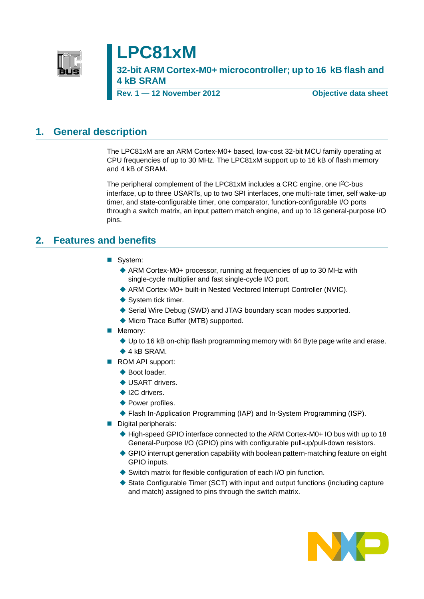

# **LPC81xM**

**32-bit ARM Cortex-M0+ microcontroller; up to 16 kB flash and 4 kB SRAM**

**Rev. 1 — 12 November 2012 Objective data sheet**

### <span id="page-0-0"></span>**1. General description**

The LPC81xM are an ARM Cortex-M0+ based, low-cost 32-bit MCU family operating at CPU frequencies of up to 30 MHz. The LPC81xM support up to 16 kB of flash memory and 4 kB of SRAM.

The peripheral complement of the LPC81xM includes a CRC engine, one I<sup>2</sup>C-bus interface, up to three USARTs, up to two SPI interfaces, one multi-rate timer, self wake-up timer, and state-configurable timer, one comparator, function-configurable I/O ports through a switch matrix, an input pattern match engine, and up to 18 general-purpose I/O pins.

### <span id="page-0-1"></span>**2. Features and benefits**

- System:
	- ARM Cortex-M0+ processor, running at frequencies of up to 30 MHz with single-cycle multiplier and fast single-cycle I/O port.
	- ARM Cortex-M0+ built-in Nested Vectored Interrupt Controller (NVIC).
	- ◆ System tick timer.
	- ◆ Serial Wire Debug (SWD) and JTAG boundary scan modes supported.
	- ◆ Micro Trace Buffer (MTB) supported.
- **Memory:** 
	- Up to 16 kB on-chip flash programming memory with 64 Byte page write and erase.
	- $\triangle$  4 kB SRAM.
- ROM API support:
	- ◆ Boot loader.
	- ◆ USART drivers.
	- ◆ I2C drivers.
	- ◆ Power profiles.
	- ◆ Flash In-Application Programming (IAP) and In-System Programming (ISP).
- Digital peripherals:
	- ◆ High-speed GPIO interface connected to the ARM Cortex-M0+ IO bus with up to 18 General-Purpose I/O (GPIO) pins with configurable pull-up/pull-down resistors.
	- GPIO interrupt generation capability with boolean pattern-matching feature on eight GPIO inputs.
	- Switch matrix for flexible configuration of each I/O pin function.
	- $\blacklozenge$  State Configurable Timer (SCT) with input and output functions (including capture and match) assigned to pins through the switch matrix.

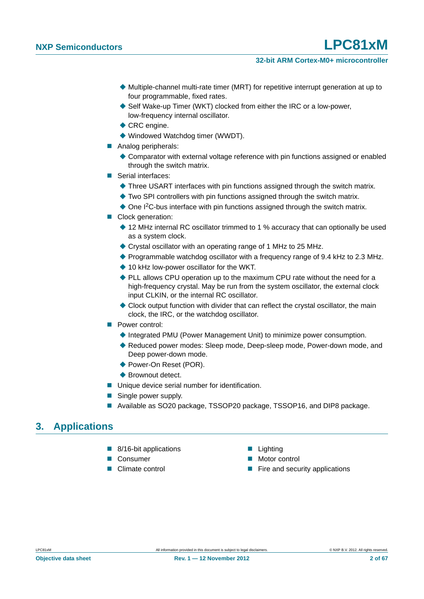- Multiple-channel multi-rate timer (MRT) for repetitive interrupt generation at up to four programmable, fixed rates.
- ◆ Self Wake-up Timer (WKT) clocked from either the IRC or a low-power, low-frequency internal oscillator.
- ◆ CRC engine.
- Windowed Watchdog timer (WWDT).
- Analog peripherals:
	- Comparator with external voltage reference with pin functions assigned or enabled through the switch matrix.
- Serial interfaces:
	- Three USART interfaces with pin functions assigned through the switch matrix.
	- ◆ Two SPI controllers with pin functions assigned through the switch matrix.
	- ◆ One I<sup>2</sup>C-bus interface with pin functions assigned through the switch matrix.
- Clock generation:
	- ◆ 12 MHz internal RC oscillator trimmed to 1 % accuracy that can optionally be used as a system clock.
	- Crystal oscillator with an operating range of 1 MHz to 25 MHz.
	- ◆ Programmable watchdog oscillator with a frequency range of 9.4 kHz to 2.3 MHz.
	- ◆ 10 kHz low-power oscillator for the WKT.
	- ◆ PLL allows CPU operation up to the maximum CPU rate without the need for a high-frequency crystal. May be run from the system oscillator, the external clock input CLKIN, or the internal RC oscillator.
	- Clock output function with divider that can reflect the crystal oscillator, the main clock, the IRC, or the watchdog oscillator.
- **Power control:** 
	- ◆ Integrated PMU (Power Management Unit) to minimize power consumption.
	- ◆ Reduced power modes: Sleep mode, Deep-sleep mode, Power-down mode, and Deep power-down mode.
	- ◆ Power-On Reset (POR).
	- ◆ Brownout detect.
- Unique device serial number for identification.
- Single power supply.
- Available as SO20 package, TSSOP20 package, TSSOP16, and DIP8 package.

### <span id="page-1-0"></span>**3. Applications**

- 8/16-bit applications Lighting
- 
- 
- 
- Consumer Motor control
- Climate control **Example 2** Fire and security applications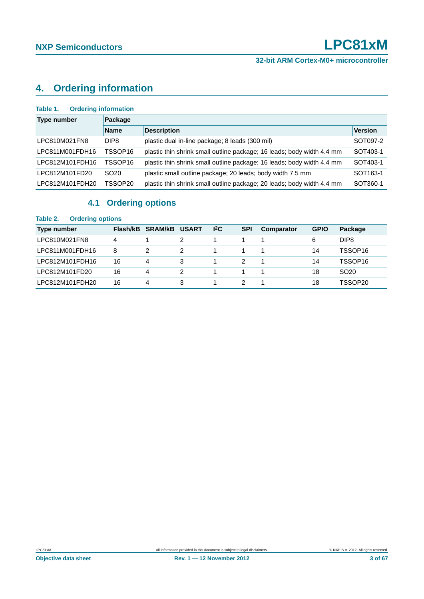## <span id="page-2-0"></span>**4. Ordering information**

| <b>Ordering information</b><br>Table 1. |                  |                                                                        |                      |  |  |  |  |  |  |
|-----------------------------------------|------------------|------------------------------------------------------------------------|----------------------|--|--|--|--|--|--|
| <b>Type number</b>                      | Package          |                                                                        |                      |  |  |  |  |  |  |
|                                         | <b>Name</b>      | <b>Description</b>                                                     | <b>Version</b>       |  |  |  |  |  |  |
| LPC810M021FN8                           | DIP8             | plastic dual in-line package; 8 leads (300 mil)                        | SOT097-2             |  |  |  |  |  |  |
| LPC811M001FDH16                         | TSSOP16          | plastic thin shrink small outline package; 16 leads; body width 4.4 mm | SOT403-1             |  |  |  |  |  |  |
| LPC812M101FDH16                         | TSSOP16          | plastic thin shrink small outline package; 16 leads; body width 4.4 mm | SOT403-1             |  |  |  |  |  |  |
| LPC812M101FD20                          | SO <sub>20</sub> | plastic small outline package; 20 leads; body width 7.5 mm             | SOT <sub>163-1</sub> |  |  |  |  |  |  |
| LPC812M101FDH20                         | TSSOP20          | plastic thin shrink small outline package; 20 leads; body width 4.4 mm | SOT360-1             |  |  |  |  |  |  |

### **4.1 Ordering options**

#### <span id="page-2-1"></span>**Table 2. Ordering options**

| Type number     | Flash/kB | <b>SRAM/kB</b> | <b>USART</b> | 12C | <b>SPI</b> | Comparator | <b>GPIO</b> | Package          |
|-----------------|----------|----------------|--------------|-----|------------|------------|-------------|------------------|
| LPC810M021FN8   | 4        |                |              |     |            |            | 6           | DIP8             |
| LPC811M001FDH16 | 8        |                |              |     |            |            | 14          | TSSOP16          |
| LPC812M101FDH16 | 16       | 4              |              |     |            |            | 14          | TSSOP16          |
| LPC812M101FD20  | 16       | 4              |              |     |            |            | 18          | SO <sub>20</sub> |
| LPC812M101FDH20 | 16       | 4              |              |     |            |            | 18          | TSSOP20          |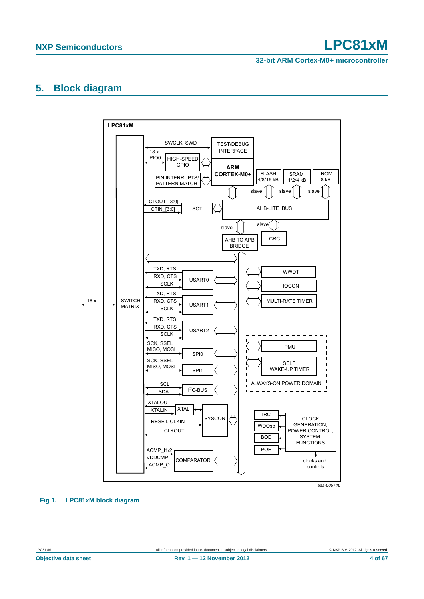**32-bit ARM Cortex-M0+ microcontroller**

### <span id="page-3-0"></span>**5. Block diagram**

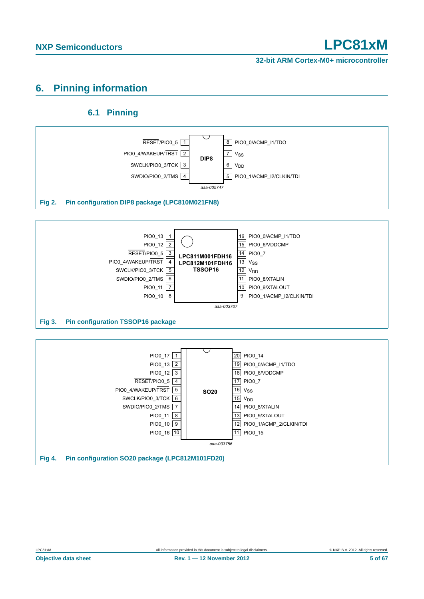### <span id="page-4-0"></span>**6. Pinning information**

### **6.1 Pinning**

<span id="page-4-1"></span>



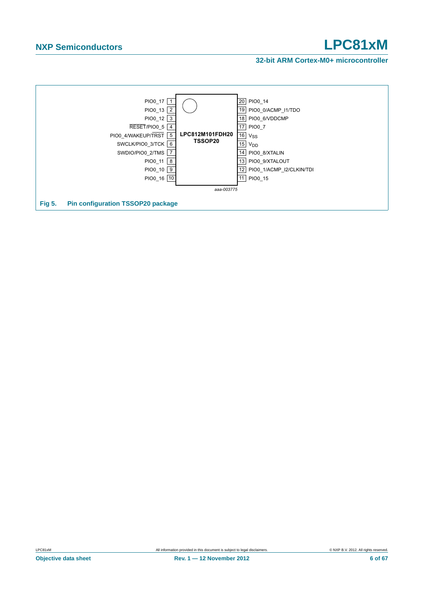#### **32-bit ARM Cortex-M0+ microcontroller**

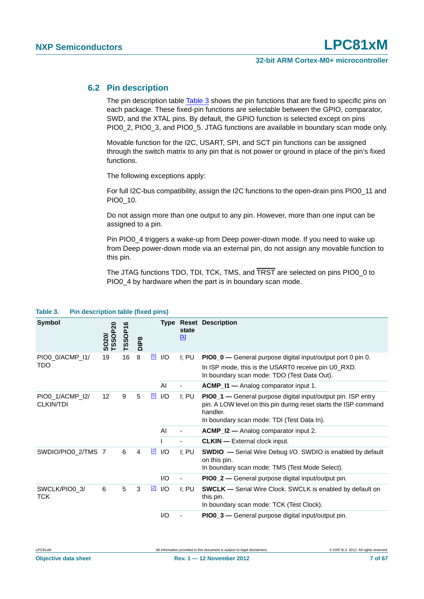#### <span id="page-6-1"></span>**6.2 Pin description**

The pin description table [Table 3](#page-6-0) shows the pin functions that are fixed to specific pins on each package. These fixed-pin functions are selectable between the GPIO, comparator, SWD, and the XTAL pins. By default, the GPIO function is selected except on pins PIO0\_2, PIO0\_3, and PIO0\_5. JTAG functions are available in boundary scan mode only.

Movable function for the I2C, USART, SPI, and SCT pin functions can be assigned through the switch matrix to any pin that is not power or ground in place of the pin's fixed functions.

The following exceptions apply:

For full I2C-bus compatibility, assign the I2C functions to the open-drain pins PIO0\_11 and PIO0\_10.

Do not assign more than one output to any pin. However, more than one input can be assigned to a pin.

Pin PIO0\_4 triggers a wake-up from Deep power-down mode. If you need to wake up from Deep power-down mode via an external pin, do not assign any movable function to this pin.

The JTAG functions TDO, TDI, TCK, TMS, and TRST are selected on pins PIO0\_0 to PIO0\_4 by hardware when the part is in boundary scan mode.

| <b>Symbol</b>                       | <b>TSSOP20</b><br>SO <sub>2</sub> 0/ | ဖ<br>TSSOP1 | DIP <sub>8</sub> |             |     | state<br>$[1]$           | <b>Type Reset Description</b>                                                                                                                                                              |
|-------------------------------------|--------------------------------------|-------------|------------------|-------------|-----|--------------------------|--------------------------------------------------------------------------------------------------------------------------------------------------------------------------------------------|
| PIO0_0/ACMP_I1/                     | 19                                   | 16          | 8                | $\boxed{5}$ | I/O | I: PU                    | PIO0_0 — General purpose digital input/output port 0 pin 0.                                                                                                                                |
| <b>TDO</b>                          |                                      |             |                  |             |     |                          | In ISP mode, this is the USART0 receive pin U0_RXD.<br>In boundary scan mode: TDO (Test Data Out).                                                                                         |
|                                     |                                      |             |                  |             | AI  |                          | ACMP_I1 - Analog comparator input 1.                                                                                                                                                       |
| PIO0 1/ACMP I2/<br><b>CLKIN/TDI</b> | 12 <sup>2</sup>                      | 9           | 5                | $\boxed{5}$ | I/O | I: PU                    | PIO0_1 — General purpose digital input/output pin. ISP entry<br>pin. A LOW level on this pin during reset starts the ISP command<br>handler.<br>In boundary scan mode: TDI (Test Data In). |
|                                     |                                      |             |                  |             | AI  |                          | <b>ACMP_I2 —</b> Analog comparator input 2.                                                                                                                                                |
|                                     |                                      |             |                  |             |     |                          | <b>CLKIN</b> - External clock input.                                                                                                                                                       |
| SWDIO/PIO0_2/TMS 7                  |                                      | 6           | $\overline{4}$   | $\boxed{2}$ | I/O | $I$ ; PU                 | <b>SWDIO</b> - Serial Wire Debug I/O. SWDIO is enabled by default<br>on this pin.<br>In boundary scan mode: TMS (Test Mode Select).                                                        |
|                                     |                                      |             |                  |             | I/O | $\overline{\phantom{a}}$ | <b>PIO0_2</b> — General purpose digital input/output pin.                                                                                                                                  |
| SWCLK/PIO0_3/<br>TCK                | 6                                    | 5           | 3                | $\boxed{2}$ | I/O | I: PU                    | <b>SWCLK</b> — Serial Wire Clock. SWCLK is enabled by default on<br>this pin.<br>In boundary scan mode: TCK (Test Clock).                                                                  |
|                                     |                                      |             |                  |             | I/O |                          | PIO0_3 - General purpose digital input/output pin.                                                                                                                                         |

#### <span id="page-6-0"></span>**Table 3. Pin description table (fixed pins)**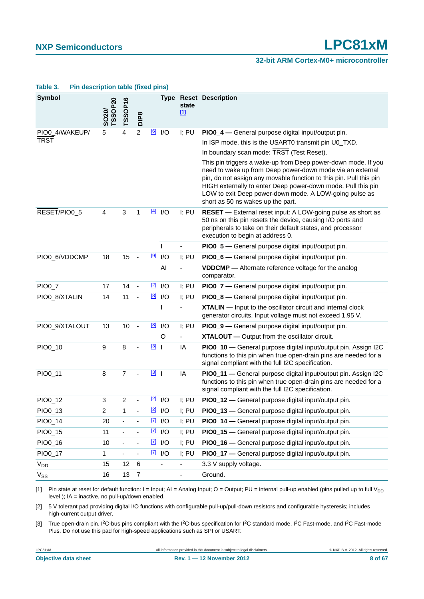#### **32-bit ARM Cortex-M0+ microcontroller**

| $\cdots$ according to the function $\cdots$ |                         |                              |                              |             |                       |                          |                                                                                                                                                                                                                                                                                                                                                                 |
|---------------------------------------------|-------------------------|------------------------------|------------------------------|-------------|-----------------------|--------------------------|-----------------------------------------------------------------------------------------------------------------------------------------------------------------------------------------------------------------------------------------------------------------------------------------------------------------------------------------------------------------|
| <b>Symbol</b>                               | <b>TSSOP20</b><br>SO20/ | TSSOP16                      | DIP <sub>8</sub>             |             |                       | state<br>$\boxed{11}$    | <b>Type Reset Description</b>                                                                                                                                                                                                                                                                                                                                   |
| PIO0 4/WAKEUP/                              | 5                       | 4                            | $\boldsymbol{2}$             | [6]         | I/O                   | I; PU                    | PIO0_4 - General purpose digital input/output pin.                                                                                                                                                                                                                                                                                                              |
| <b>TRST</b>                                 |                         |                              |                              |             |                       |                          | In ISP mode, this is the USART0 transmit pin U0_TXD.                                                                                                                                                                                                                                                                                                            |
|                                             |                         |                              |                              |             |                       |                          | In boundary scan mode: TRST (Test Reset).                                                                                                                                                                                                                                                                                                                       |
|                                             |                         |                              |                              |             |                       |                          | This pin triggers a wake-up from Deep power-down mode. If you<br>need to wake up from Deep power-down mode via an external<br>pin, do not assign any movable function to this pin. Pull this pin<br>HIGH externally to enter Deep power-down mode. Pull this pin<br>LOW to exit Deep power-down mode. A LOW-going pulse as<br>short as 50 ns wakes up the part. |
| RESET/PIO0_5                                | 4                       | 3                            | 1                            |             | $\frac{[4]}{[4]}$ I/O | I; PU                    | RESET - External reset input: A LOW-going pulse as short as<br>50 ns on this pin resets the device, causing I/O ports and<br>peripherals to take on their default states, and processor<br>execution to begin at address 0.                                                                                                                                     |
|                                             |                         |                              |                              |             | T                     |                          | PIO0_5 - General purpose digital input/output pin.                                                                                                                                                                                                                                                                                                              |
| PIO0_6/VDDCMP                               | 18                      | 15                           | $\blacksquare$               |             | $\boxed{9}$ I/O       | I; PU                    | PIO0_6 - General purpose digital input/output pin.                                                                                                                                                                                                                                                                                                              |
|                                             |                         |                              |                              |             | AI                    |                          | VDDCMP - Alternate reference voltage for the analog<br>comparator.                                                                                                                                                                                                                                                                                              |
| PIO0_7                                      | 17                      | 14                           | $\overline{\phantom{a}}$     | $\boxed{2}$ | I/O                   | I; PU                    | PIO0_7 - General purpose digital input/output pin.                                                                                                                                                                                                                                                                                                              |
| PIO0_8/XTALIN                               | 14                      | 11                           | ÷,                           | [8]         | I/O                   | I; PU                    | PIO0_8 - General purpose digital input/output pin.                                                                                                                                                                                                                                                                                                              |
|                                             |                         |                              |                              |             | I.                    |                          | <b>XTALIN</b> - Input to the oscillator circuit and internal clock<br>generator circuits. Input voltage must not exceed 1.95 V.                                                                                                                                                                                                                                 |
| PIO0_9/XTALOUT                              | 13                      | 10                           | $\overline{\phantom{a}}$     | $^{[8]}$    | I/O                   | I; PU                    | PIO0_9 - General purpose digital input/output pin.                                                                                                                                                                                                                                                                                                              |
|                                             |                         |                              |                              |             | $\circ$               | $\overline{\phantom{a}}$ | XTALOUT - Output from the oscillator circuit.                                                                                                                                                                                                                                                                                                                   |
| PIO0_10                                     | $\boldsymbol{9}$        | 8                            |                              | $\boxed{3}$ |                       | IA                       | PIO0_10 - General purpose digital input/output pin. Assign I2C<br>functions to this pin when true open-drain pins are needed for a<br>signal compliant with the full I2C specification.                                                                                                                                                                         |
| PIO0_11                                     | 8                       | $\overline{7}$               |                              | $\boxed{3}$ |                       | IA                       | PIO0_11 - General purpose digital input/output pin. Assign I2C<br>functions to this pin when true open-drain pins are needed for a<br>signal compliant with the full I2C specification.                                                                                                                                                                         |
| PIO0_12                                     | 3                       | $\overline{c}$               |                              |             | $\boxed{2}$ I/O       | I; PU                    | PIO0_12 - General purpose digital input/output pin.                                                                                                                                                                                                                                                                                                             |
| PIO0_13                                     | $\overline{\mathbf{c}}$ | 1                            |                              |             | $\boxed{2}$ I/O       | I; PU                    | PIO0_13 - General purpose digital input/output pin.                                                                                                                                                                                                                                                                                                             |
| PIO0_14                                     | 20                      |                              |                              | $\boxed{7}$ | I/O                   | I; PU                    | PIO0_14 - General purpose digital input/output pin.                                                                                                                                                                                                                                                                                                             |
| PIO0_15                                     | 11                      | $\qquad \qquad \blacksquare$ | $\qquad \qquad \blacksquare$ |             | $\boxed{7}$ I/O       | I; PU                    | PIO0_15 - General purpose digital input/output pin.                                                                                                                                                                                                                                                                                                             |
| PIO0_16                                     | 10                      | $\qquad \qquad \blacksquare$ |                              |             | $\boxed{7}$ I/O       | I; PU                    | PIO0_16 - General purpose digital input/output pin.                                                                                                                                                                                                                                                                                                             |
| PIO0_17                                     | 1                       | $\qquad \qquad \blacksquare$ | $\qquad \qquad \blacksquare$ |             | $\sqrt{7}$ $\sqrt{7}$ | I; PU                    | PIO0_17 - General purpose digital input/output pin.                                                                                                                                                                                                                                                                                                             |
| V <sub>DD</sub>                             | 15                      | 12                           | $\,6$                        |             |                       |                          | 3.3 V supply voltage.                                                                                                                                                                                                                                                                                                                                           |
| $V_{SS}$                                    | 16                      | 13                           | $\overline{7}$               |             |                       | $\blacksquare$           | Ground.                                                                                                                                                                                                                                                                                                                                                         |

#### **Table 3. Pin description table (fixed pins)**

<span id="page-7-0"></span>[1] Pin state at reset for default function: I = Input; AI = Analog Input; O = Output; PU = internal pull-up enabled (pins pulled up to full V<sub>DD</sub>) level ); IA = inactive, no pull-up/down enabled.

<span id="page-7-1"></span>[2] 5 V tolerant pad providing digital I/O functions with configurable pull-up/pull-down resistors and configurable hysteresis; includes high-current output driver.

<span id="page-7-2"></span>[3] True open-drain pin. I<sup>2</sup>C-bus pins compliant with the I<sup>2</sup>C-bus specification for I<sup>2</sup>C standard mode, I<sup>2</sup>C Fast-mode, and I<sup>2</sup>C Fast-mode Plus. Do not use this pad for high-speed applications such as SPI or USART.

LPC81xM All information provided in this document is subject to legal disclaimers. © NXP B.V. 2012. All rights reserved.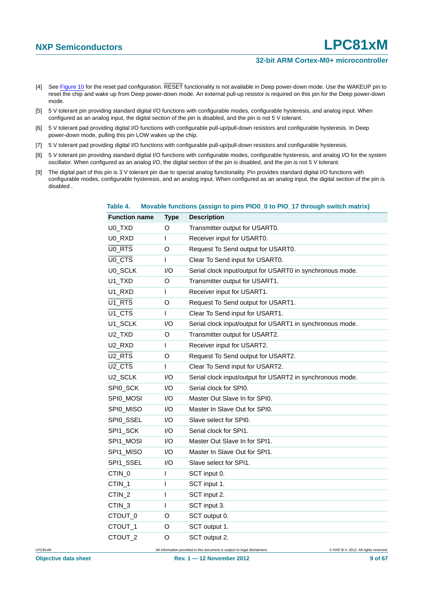#### **32-bit ARM Cortex-M0+ microcontroller**

- <span id="page-8-2"></span>[4] See [Figure 10](#page-25-0) for the reset pad configuration. RESET functionality is not available in Deep power-down mode. Use the WAKEUP pin to reset the chip and wake up from Deep power-down mode. An external pull-up resistor is required on this pin for the Deep power-down mode.
- <span id="page-8-0"></span>[5] 5 V tolerant pin providing standard digital I/O functions with configurable modes, configurable hysteresis, and analog input. When configured as an analog input, the digital section of the pin is disabled, and the pin is not 5 V tolerant.
- <span id="page-8-1"></span>[6] 5 V tolerant pad providing digital I/O functions with configurable pull-up/pull-down resistors and configurable hysteresis. In Deep power-down mode, pulling this pin LOW wakes up the chip.
- <span id="page-8-4"></span>[7] 5 V tolerant pad providing digital I/O functions with configurable pull-up/pull-down resistors and configurable hysteresis.
- <span id="page-8-3"></span>[8] 5 V tolerant pin providing standard digital I/O functions with configurable modes, configurable hysteresis, and analog I/O for the system oscillator. When configured as an analog I/O, the digital section of the pin is disabled, and the pin is not 5 V tolerant.
- <span id="page-8-5"></span>[9] The digital part of this pin is 3 V tolerant pin due to special analog functionality. Pin provides standard digital I/O functions with configurable modes, configurable hysteresis, and an analog input. When configured as an analog input, the digital section of the pin is disabled .

| <b>Function name</b>            | <b>Type</b> | <b>Description</b>                                        |
|---------------------------------|-------------|-----------------------------------------------------------|
| U0_TXD                          | O           | Transmitter output for USART0.                            |
| U0_RXD                          | I           | Receiver input for USART0.                                |
| U <sub>0_RTS</sub>              | O           | Request To Send output for USART0.                        |
| U <sub>0_CTS</sub>              | T           | Clear To Send input for USART0.                           |
| U0_SCLK                         | 1/O         | Serial clock input/output for USART0 in synchronous mode. |
| U1_TXD                          | O           | Transmitter output for USART1.                            |
| U1_RXD                          | T           | Receiver input for USART1.                                |
| U <sub>1</sub> RTS              | O           | Request To Send output for USART1.                        |
| $\overline{U1}$ <sub>C</sub> TS | I           | Clear To Send input for USART1.                           |
| U1_SCLK                         | I/O         | Serial clock input/output for USART1 in synchronous mode. |
| U <sub>2_T</sub> XD             | O           | Transmitter output for USART2.                            |
| U <sub>2_RXD</sub>              | T           | Receiver input for USART2.                                |
| U <sub>2</sub> RTS              | O           | Request To Send output for USART2.                        |
| U <sub>2_CTS</sub>              | T           | Clear To Send input for USART2.                           |
| U2_SCLK                         | I/O         | Serial clock input/output for USART2 in synchronous mode. |
| SPI0_SCK                        | 1/O         | Serial clock for SPI0.                                    |
| SPI0_MOSI                       | I/O         | Master Out Slave In for SPI0.                             |
| SPI0_MISO                       | I/O         | Master In Slave Out for SPI0.                             |
| SPI0_SSEL                       | 1/O         | Slave select for SPI0.                                    |
| SPI1_SCK                        | I/O         | Serial clock for SPI1.                                    |
| SPI1_MOSI                       | I/O         | Master Out Slave In for SPI1.                             |
| SPI1_MISO                       | 1/O         | Master In Slave Out for SPI1.                             |
| SPI1_SSEL                       | I/O         | Slave select for SPI1.                                    |
| CTIN_0                          | I           | SCT input 0.                                              |
| CTIN_1                          | I           | SCT input 1.                                              |
| CTIN_2                          | I           | SCT input 2.                                              |
| CTIN_3                          | T           | SCT input 3.                                              |
| CTOUT_0                         | O           | SCT output 0.                                             |
| CTOUT_1                         | O           | SCT output 1.                                             |
| CTOUT <sub>2</sub>              | O           | SCT output 2.                                             |

#### <span id="page-8-6"></span>**Table 4. Movable functions (assign to pins PIO0\_0 to PIO\_17 through switch matrix)**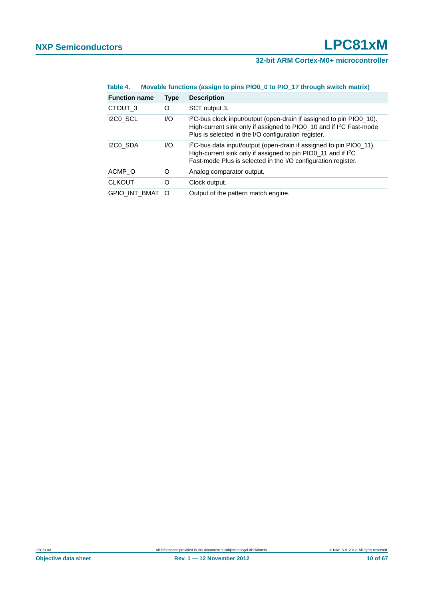| Table 4. | Movable functions (assign to pins PIO0_0 to PIO_17 through switch matrix) |  |
|----------|---------------------------------------------------------------------------|--|
|          |                                                                           |  |

| <b>Function name</b> | <b>Type</b> | <b>Description</b>                                                                                                                                                                                                            |
|----------------------|-------------|-------------------------------------------------------------------------------------------------------------------------------------------------------------------------------------------------------------------------------|
| CTOUT <sub>3</sub>   | O           | SCT output 3.                                                                                                                                                                                                                 |
| I2C0 SCL             | 1/O         | I <sup>2</sup> C-bus clock input/output (open-drain if assigned to pin PIO0_10).<br>High-current sink only if assigned to PIO0_10 and if I <sup>2</sup> C Fast-mode<br>Plus is selected in the I/O configuration register.    |
| I2C0 SDA             | 1/O         | I <sup>2</sup> C-bus data input/output (open-drain if assigned to pin PIO0_11).<br>High-current sink only if assigned to pin PIO0_11 and if I <sup>2</sup> C<br>Fast-mode Plus is selected in the I/O configuration register. |
| ACMP O               | O           | Analog comparator output.                                                                                                                                                                                                     |
| <b>CLKOUT</b>        | O           | Clock output.                                                                                                                                                                                                                 |
| <b>GPIO INT BMAT</b> | ∩           | Output of the pattern match engine.                                                                                                                                                                                           |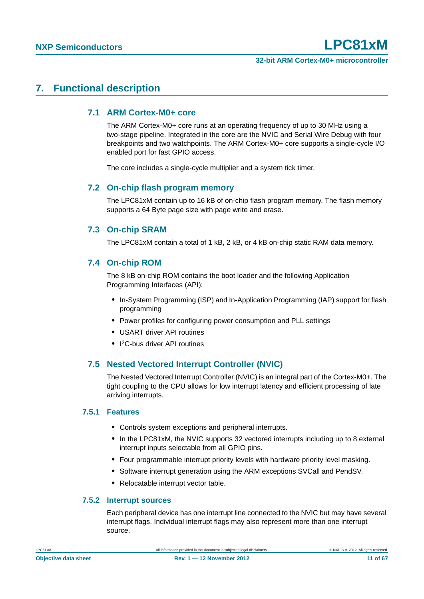### <span id="page-10-1"></span><span id="page-10-0"></span>**7. Functional description**

#### **7.1 ARM Cortex-M0+ core**

The ARM Cortex-M0+ core runs at an operating frequency of up to 30 MHz using a two-stage pipeline. Integrated in the core are the NVIC and Serial Wire Debug with four breakpoints and two watchpoints. The ARM Cortex-M0+ core supports a single-cycle I/O enabled port for fast GPIO access.

The core includes a single-cycle multiplier and a system tick timer.

#### <span id="page-10-2"></span>**7.2 On-chip flash program memory**

The LPC81xM contain up to 16 kB of on-chip flash program memory. The flash memory supports a 64 Byte page size with page write and erase.

### <span id="page-10-3"></span>**7.3 On-chip SRAM**

The LPC81xM contain a total of 1 kB, 2 kB, or 4 kB on-chip static RAM data memory.

#### <span id="page-10-4"></span>**7.4 On-chip ROM**

The 8 kB on-chip ROM contains the boot loader and the following Application Programming Interfaces (API):

- **•** In-System Programming (ISP) and In-Application Programming (IAP) support for flash programming
- **•** Power profiles for configuring power consumption and PLL settings
- **•** USART driver API routines
- **•** I 2C-bus driver API routines

### <span id="page-10-5"></span>**7.5 Nested Vectored Interrupt Controller (NVIC)**

The Nested Vectored Interrupt Controller (NVIC) is an integral part of the Cortex-M0+. The tight coupling to the CPU allows for low interrupt latency and efficient processing of late arriving interrupts.

#### <span id="page-10-6"></span>**7.5.1 Features**

- **•** Controls system exceptions and peripheral interrupts.
- **•** In the LPC81xM, the NVIC supports 32 vectored interrupts including up to 8 external interrupt inputs selectable from all GPIO pins.
- **•** Four programmable interrupt priority levels with hardware priority level masking.
- **•** Software interrupt generation using the ARM exceptions SVCall and PendSV.
- **•** Relocatable interrupt vector table.

#### <span id="page-10-7"></span>**7.5.2 Interrupt sources**

Each peripheral device has one interrupt line connected to the NVIC but may have several interrupt flags. Individual interrupt flags may also represent more than one interrupt source.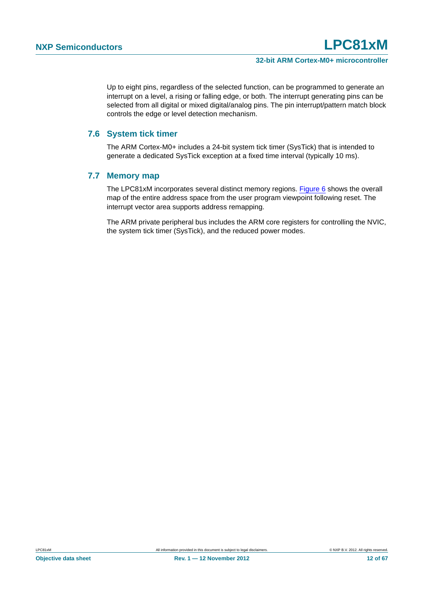Up to eight pins, regardless of the selected function, can be programmed to generate an interrupt on a level, a rising or falling edge, or both. The interrupt generating pins can be selected from all digital or mixed digital/analog pins. The pin interrupt/pattern match block controls the edge or level detection mechanism.

#### <span id="page-11-0"></span>**7.6 System tick timer**

The ARM Cortex-M0+ includes a 24-bit system tick timer (SysTick) that is intended to generate a dedicated SysTick exception at a fixed time interval (typically 10 ms).

#### <span id="page-11-1"></span>**7.7 Memory map**

The LPC81xM incorporates several distinct memory regions. [Figure 6](#page-12-0) shows the overall map of the entire address space from the user program viewpoint following reset. The interrupt vector area supports address remapping.

The ARM private peripheral bus includes the ARM core registers for controlling the NVIC, the system tick timer (SysTick), and the reduced power modes.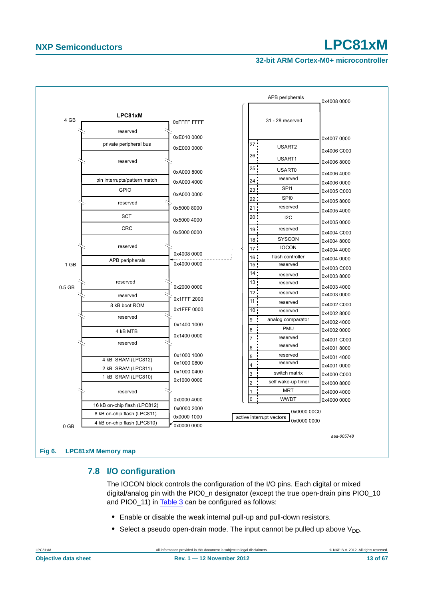#### **32-bit ARM Cortex-M0+ microcontroller**



#### <span id="page-12-1"></span><span id="page-12-0"></span>**7.8 I/O configuration**

The IOCON block controls the configuration of the I/O pins. Each digital or mixed digital/analog pin with the PIO0\_n designator (except the true open-drain pins PIO0\_10 and PIO0 11) in [Table 3](#page-6-0) can be configured as follows:

- **•** Enable or disable the weak internal pull-up and pull-down resistors.
- Select a pseudo open-drain mode. The input cannot be pulled up above  $V_{DD}$ .

LPC81xM **All information provided in this document is subject to legal disclaimers.** © NXP B.V. 2012. All rights reserved.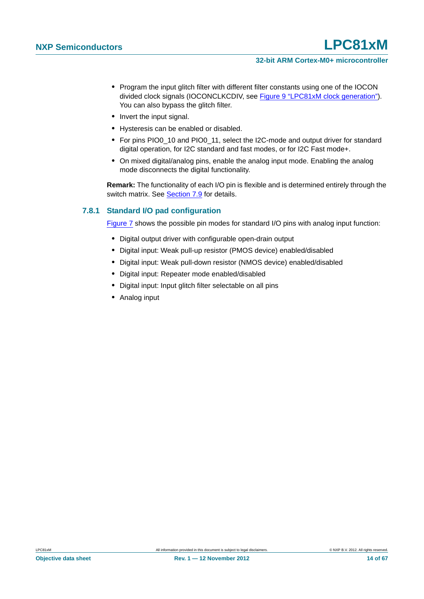- **•** Program the input glitch filter with different filter constants using one of the IOCON divided clock signals (IOCONCLKCDIV, see [Figure 9 "LPC81xM clock generation"](#page-21-0)). You can also bypass the glitch filter.
- **•** Invert the input signal.
- **•** Hysteresis can be enabled or disabled.
- **•** For pins PIO0\_10 and PIO0\_11, select the I2C-mode and output driver for standard digital operation, for I2C standard and fast modes, or for I2C Fast mode+.
- **•** On mixed digital/analog pins, enable the analog input mode. Enabling the analog mode disconnects the digital functionality.

**Remark:** The functionality of each I/O pin is flexible and is determined entirely through the switch matrix. See [Section 7.9](#page-14-1) for details.

#### <span id="page-13-0"></span>**7.8.1 Standard I/O pad configuration**

[Figure 7](#page-14-0) shows the possible pin modes for standard I/O pins with analog input function:

- Digital output driver with configurable open-drain output
- **•** Digital input: Weak pull-up resistor (PMOS device) enabled/disabled
- **•** Digital input: Weak pull-down resistor (NMOS device) enabled/disabled
- **•** Digital input: Repeater mode enabled/disabled
- **•** Digital input: Input glitch filter selectable on all pins
- **•** Analog input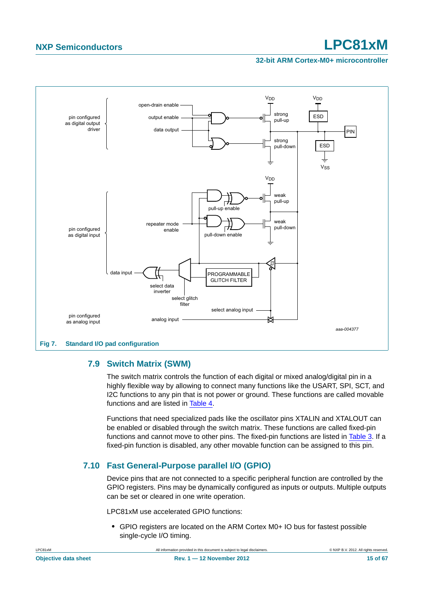#### **32-bit ARM Cortex-M0+ microcontroller**



### <span id="page-14-1"></span><span id="page-14-0"></span>**7.9 Switch Matrix (SWM)**

The switch matrix controls the function of each digital or mixed analog/digital pin in a highly flexible way by allowing to connect many functions like the USART, SPI, SCT, and I2C functions to any pin that is not power or ground. These functions are called movable functions and are listed in [Table 4](#page-8-6).

Functions that need specialized pads like the oscillator pins XTALIN and XTALOUT can be enabled or disabled through the switch matrix. These functions are called fixed-pin functions and cannot move to other pins. The fixed-pin functions are listed in [Table 3](#page-6-0). If a fixed-pin function is disabled, any other movable function can be assigned to this pin.

### <span id="page-14-2"></span>**7.10 Fast General-Purpose parallel I/O (GPIO)**

Device pins that are not connected to a specific peripheral function are controlled by the GPIO registers. Pins may be dynamically configured as inputs or outputs. Multiple outputs can be set or cleared in one write operation.

LPC81xM use accelerated GPIO functions:

**•** GPIO registers are located on the ARM Cortex M0+ IO bus for fastest possible single-cycle I/O timing.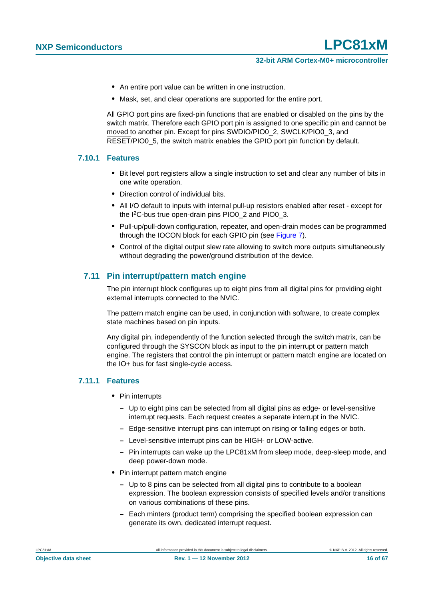- **•** An entire port value can be written in one instruction.
- **•** Mask, set, and clear operations are supported for the entire port.

All GPIO port pins are fixed-pin functions that are enabled or disabled on the pins by the switch matrix. Therefore each GPIO port pin is assigned to one specific pin and cannot be moved to another pin. Except for pins SWDIO/PIO0\_2, SWCLK/PIO0\_3, and RESET/PIO0 5, the switch matrix enables the GPIO port pin function by default.

#### <span id="page-15-0"></span>**7.10.1 Features**

- **•** Bit level port registers allow a single instruction to set and clear any number of bits in one write operation.
- **•** Direction control of individual bits.
- **•** All I/O default to inputs with internal pull-up resistors enabled after reset except for the I<sup>2</sup>C-bus true open-drain pins PIO0\_2 and PIO0\_3.
- **•** Pull-up/pull-down configuration, repeater, and open-drain modes can be programmed through the IOCON block for each GPIO pin (see [Figure 7\)](#page-14-0).
- **•** Control of the digital output slew rate allowing to switch more outputs simultaneously without degrading the power/ground distribution of the device.

#### <span id="page-15-1"></span>**7.11 Pin interrupt/pattern match engine**

The pin interrupt block configures up to eight pins from all digital pins for providing eight external interrupts connected to the NVIC.

The pattern match engine can be used, in conjunction with software, to create complex state machines based on pin inputs.

Any digital pin, independently of the function selected through the switch matrix, can be configured through the SYSCON block as input to the pin interrupt or pattern match engine. The registers that control the pin interrupt or pattern match engine are located on the IO+ bus for fast single-cycle access.

#### <span id="page-15-2"></span>**7.11.1 Features**

- **•** Pin interrupts
	- **–** Up to eight pins can be selected from all digital pins as edge- or level-sensitive interrupt requests. Each request creates a separate interrupt in the NVIC.
	- **–** Edge-sensitive interrupt pins can interrupt on rising or falling edges or both.
	- **–** Level-sensitive interrupt pins can be HIGH- or LOW-active.
	- **–** Pin interrupts can wake up the LPC81xM from sleep mode, deep-sleep mode, and deep power-down mode.
- **•** Pin interrupt pattern match engine
	- **–** Up to 8 pins can be selected from all digital pins to contribute to a boolean expression. The boolean expression consists of specified levels and/or transitions on various combinations of these pins.
	- **–** Each minters (product term) comprising the specified boolean expression can generate its own, dedicated interrupt request.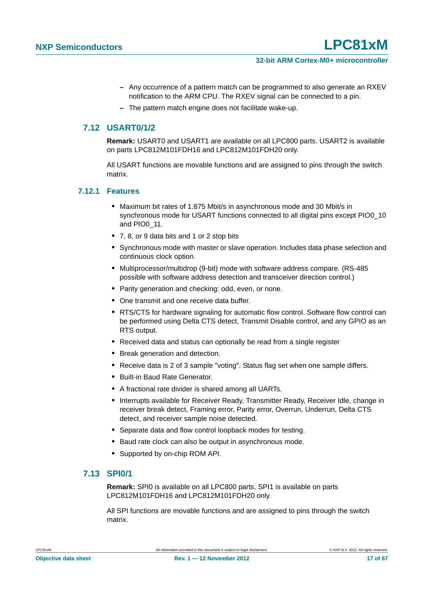- **–** Any occurrence of a pattern match can be programmed to also generate an RXEV notification to the ARM CPU. The RXEV signal can be connected to a pin.
- **–** The pattern match engine does not facilitate wake-up.

#### <span id="page-16-0"></span>**7.12 USART0/1/2**

**Remark:** USART0 and USART1 are available on all LPC800 parts. USART2 is available on parts LPC812M101FDH16 and LPC812M101FDH20 only.

All USART functions are movable functions and are assigned to pins through the switch matrix.

#### <span id="page-16-1"></span>**7.12.1 Features**

- **•** Maximum bit rates of 1.875 Mbit/s in asynchronous mode and 30 Mbit/s in synchronous mode for USART functions connected to all digital pins except PIO0\_10 and PIO0\_11.
- **•** 7, 8, or 9 data bits and 1 or 2 stop bits
- **•** Synchronous mode with master or slave operation. Includes data phase selection and continuous clock option.
- **•** Multiprocessor/multidrop (9-bit) mode with software address compare. (RS-485 possible with software address detection and transceiver direction control.)
- **•** Parity generation and checking: odd, even, or none.
- **•** One transmit and one receive data buffer.
- **•** RTS/CTS for hardware signaling for automatic flow control. Software flow control can be performed using Delta CTS detect, Transmit Disable control, and any GPIO as an RTS output.
- **•** Received data and status can optionally be read from a single register
- **•** Break generation and detection.
- **•** Receive data is 2 of 3 sample "voting". Status flag set when one sample differs.
- **•** Built-in Baud Rate Generator.
- **•** A fractional rate divider is shared among all UARTs.
- **•** Interrupts available for Receiver Ready, Transmitter Ready, Receiver Idle, change in receiver break detect, Framing error, Parity error, Overrun, Underrun, Delta CTS detect, and receiver sample noise detected.
- **•** Separate data and flow control loopback modes for testing.
- **•** Baud rate clock can also be output in asynchronous mode.
- **•** Supported by on-chip ROM API.

#### <span id="page-16-2"></span>**7.13 SPI0/1**

**Remark:** SPI0 is available on all LPC800 parts. SPI1 is available on parts LPC812M101FDH16 and LPC812M101FDH20 only.

All SPI functions are movable functions and are assigned to pins through the switch matrix.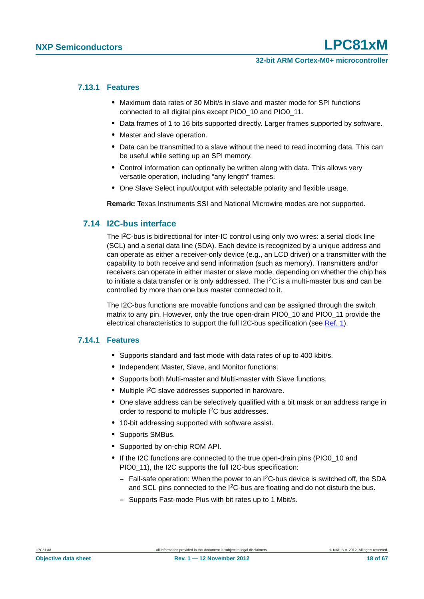#### <span id="page-17-0"></span>**7.13.1 Features**

- **•** Maximum data rates of 30 Mbit/s in slave and master mode for SPI functions connected to all digital pins except PIO0\_10 and PIO0\_11.
- **•** Data frames of 1 to 16 bits supported directly. Larger frames supported by software.
- **•** Master and slave operation.
- **•** Data can be transmitted to a slave without the need to read incoming data. This can be useful while setting up an SPI memory.
- **•** Control information can optionally be written along with data. This allows very versatile operation, including "any length" frames.
- **•** One Slave Select input/output with selectable polarity and flexible usage.

**Remark:** Texas Instruments SSI and National Microwire modes are not supported.

#### <span id="page-17-1"></span>**7.14 I2C-bus interface**

The I<sup>2</sup>C-bus is bidirectional for inter-IC control using only two wires: a serial clock line (SCL) and a serial data line (SDA). Each device is recognized by a unique address and can operate as either a receiver-only device (e.g., an LCD driver) or a transmitter with the capability to both receive and send information (such as memory). Transmitters and/or receivers can operate in either master or slave mode, depending on whether the chip has to initiate a data transfer or is only addressed. The  $1<sup>2</sup>C$  is a multi-master bus and can be controlled by more than one bus master connected to it.

The I2C-bus functions are movable functions and can be assigned through the switch matrix to any pin. However, only the true open-drain PIO0\_10 and PIO0\_11 provide the electrical characteristics to support the full I2C-bus specification (see [Ref. 1\)](#page-61-0).

#### <span id="page-17-2"></span>**7.14.1 Features**

- **•** Supports standard and fast mode with data rates of up to 400 kbit/s.
- **•** Independent Master, Slave, and Monitor functions.
- **•** Supports both Multi-master and Multi-master with Slave functions.
- **•** Multiple I2C slave addresses supported in hardware.
- **•** One slave address can be selectively qualified with a bit mask or an address range in order to respond to multiple I2C bus addresses.
- **•** 10-bit addressing supported with software assist.
- **•** Supports SMBus.
- **•** Supported by on-chip ROM API.
- **•** If the I2C functions are connected to the true open-drain pins (PIO0\_10 and PIO0 11), the I2C supports the full I2C-bus specification:
	- **–** Fail-safe operation: When the power to an I2C-bus device is switched off, the SDA and SCL pins connected to the I<sup>2</sup>C-bus are floating and do not disturb the bus.
	- **–** Supports Fast-mode Plus with bit rates up to 1 Mbit/s.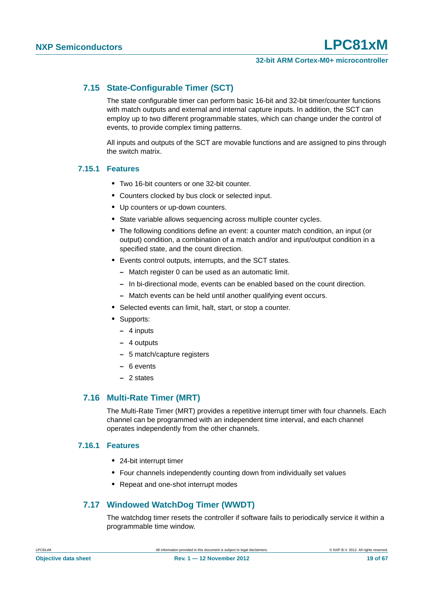### <span id="page-18-0"></span>**7.15 State-Configurable Timer (SCT)**

The state configurable timer can perform basic 16-bit and 32-bit timer/counter functions with match outputs and external and internal capture inputs. In addition, the SCT can employ up to two different programmable states, which can change under the control of events, to provide complex timing patterns.

All inputs and outputs of the SCT are movable functions and are assigned to pins through the switch matrix.

#### <span id="page-18-1"></span>**7.15.1 Features**

- **•** Two 16-bit counters or one 32-bit counter.
- **•** Counters clocked by bus clock or selected input.
- **•** Up counters or up-down counters.
- **•** State variable allows sequencing across multiple counter cycles.
- **•** The following conditions define an event: a counter match condition, an input (or output) condition, a combination of a match and/or and input/output condition in a specified state, and the count direction.
- **•** Events control outputs, interrupts, and the SCT states.
	- **–** Match register 0 can be used as an automatic limit.
	- **–** In bi-directional mode, events can be enabled based on the count direction.
	- **–** Match events can be held until another qualifying event occurs.
- **•** Selected events can limit, halt, start, or stop a counter.
- **•** Supports:
	- **–** 4 inputs
	- **–** 4 outputs
	- **–** 5 match/capture registers
	- **–** 6 events
	- **–** 2 states

#### <span id="page-18-2"></span>**7.16 Multi-Rate Timer (MRT)**

The Multi-Rate Timer (MRT) provides a repetitive interrupt timer with four channels. Each channel can be programmed with an independent time interval, and each channel operates independently from the other channels.

#### <span id="page-18-3"></span>**7.16.1 Features**

- **•** 24-bit interrupt timer
- **•** Four channels independently counting down from individually set values
- **•** Repeat and one-shot interrupt modes

#### <span id="page-18-4"></span>**7.17 Windowed WatchDog Timer (WWDT)**

The watchdog timer resets the controller if software fails to periodically service it within a programmable time window.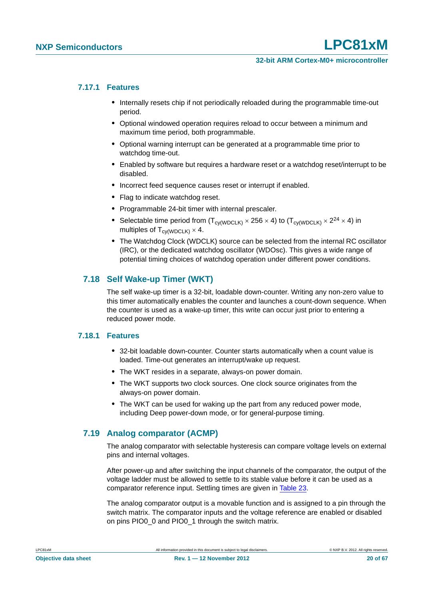#### <span id="page-19-1"></span>**7.17.1 Features**

- **•** Internally resets chip if not periodically reloaded during the programmable time-out period.
- **•** Optional windowed operation requires reload to occur between a minimum and maximum time period, both programmable.
- **•** Optional warning interrupt can be generated at a programmable time prior to watchdog time-out.
- **•** Enabled by software but requires a hardware reset or a watchdog reset/interrupt to be disabled.
- **•** Incorrect feed sequence causes reset or interrupt if enabled.
- **•** Flag to indicate watchdog reset.
- **•** Programmable 24-bit timer with internal prescaler.
- Selectable time period from  $(T_{\text{cv(WDCLK)}} \times 256 \times 4)$  to  $(T_{\text{cv(WDCLK)}} \times 2^{24} \times 4)$  in multiples of  $T_{\text{cv(WDCI K)}} \times 4$ .
- **•** The Watchdog Clock (WDCLK) source can be selected from the internal RC oscillator (IRC), or the dedicated watchdog oscillator (WDOsc). This gives a wide range of potential timing choices of watchdog operation under different power conditions.

### <span id="page-19-0"></span>**7.18 Self Wake-up Timer (WKT)**

The self wake-up timer is a 32-bit, loadable down-counter. Writing any non-zero value to this timer automatically enables the counter and launches a count-down sequence. When the counter is used as a wake-up timer, this write can occur just prior to entering a reduced power mode.

#### <span id="page-19-2"></span>**7.18.1 Features**

- **•** 32-bit loadable down-counter. Counter starts automatically when a count value is loaded. Time-out generates an interrupt/wake up request.
- **•** The WKT resides in a separate, always-on power domain.
- **•** The WKT supports two clock sources. One clock source originates from the always-on power domain.
- **•** The WKT can be used for waking up the part from any reduced power mode, including Deep power-down mode, or for general-purpose timing.

### <span id="page-19-3"></span>**7.19 Analog comparator (ACMP)**

The analog comparator with selectable hysteresis can compare voltage levels on external pins and internal voltages.

After power-up and after switching the input channels of the comparator, the output of the voltage ladder must be allowed to settle to its stable value before it can be used as a comparator reference input. Settling times are given in [Table 23](#page-50-0).

The analog comparator output is a movable function and is assigned to a pin through the switch matrix. The comparator inputs and the voltage reference are enabled or disabled on pins PIO0\_0 and PIO0\_1 through the switch matrix.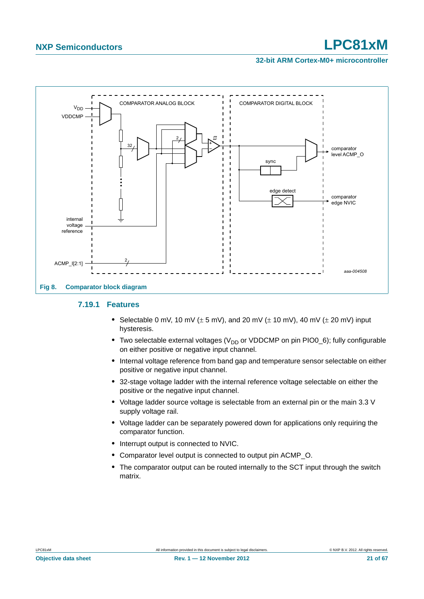#### **32-bit ARM Cortex-M0+ microcontroller**



#### <span id="page-20-0"></span>**7.19.1 Features**

- Selectable 0 mV, 10 mV ( $\pm$  5 mV), and 20 mV ( $\pm$  10 mV), 40 mV ( $\pm$  20 mV) input hysteresis.
- Two selectable external voltages (V<sub>DD</sub> or VDDCMP on pin PIO0\_6); fully configurable on either positive or negative input channel.
- **•** Internal voltage reference from band gap and temperature sensor selectable on either positive or negative input channel.
- **•** 32-stage voltage ladder with the internal reference voltage selectable on either the positive or the negative input channel.
- **•** Voltage ladder source voltage is selectable from an external pin or the main 3.3 V supply voltage rail.
- **•** Voltage ladder can be separately powered down for applications only requiring the comparator function.
- **•** Interrupt output is connected to NVIC.
- **•** Comparator level output is connected to output pin ACMP\_O.
- **•** The comparator output can be routed internally to the SCT input through the switch matrix.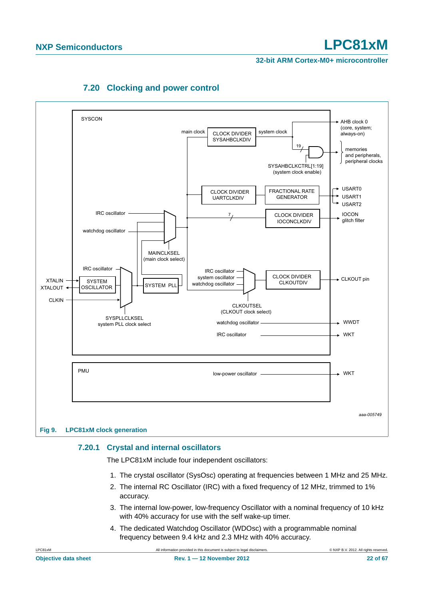<span id="page-21-1"></span>

### **7.20 Clocking and power control**

### <span id="page-21-2"></span><span id="page-21-0"></span>**7.20.1 Crystal and internal oscillators**

The LPC81xM include four independent oscillators:

- 1. The crystal oscillator (SysOsc) operating at frequencies between 1 MHz and 25 MHz.
- 2. The internal RC Oscillator (IRC) with a fixed frequency of 12 MHz, trimmed to 1% accuracy.
- 3. The internal low-power, low-frequency Oscillator with a nominal frequency of 10 kHz with 40% accuracy for use with the self wake-up timer.
- 4. The dedicated Watchdog Oscillator (WDOsc) with a programmable nominal frequency between 9.4 kHz and 2.3 MHz with 40% accuracy.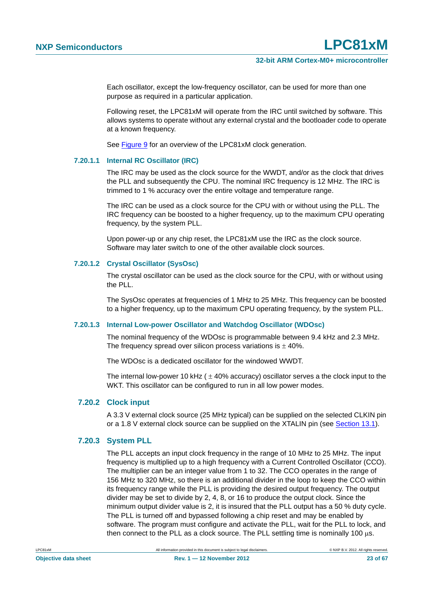Each oscillator, except the low-frequency oscillator, can be used for more than one purpose as required in a particular application.

Following reset, the LPC81xM will operate from the IRC until switched by software. This allows systems to operate without any external crystal and the bootloader code to operate at a known frequency.

See [Figure 9](#page-21-0) for an overview of the LPC81xM clock generation.

#### <span id="page-22-0"></span>**7.20.1.1 Internal RC Oscillator (IRC)**

The IRC may be used as the clock source for the WWDT, and/or as the clock that drives the PLL and subsequently the CPU. The nominal IRC frequency is 12 MHz. The IRC is trimmed to 1 % accuracy over the entire voltage and temperature range.

The IRC can be used as a clock source for the CPU with or without using the PLL. The IRC frequency can be boosted to a higher frequency, up to the maximum CPU operating frequency, by the system PLL.

Upon power-up or any chip reset, the LPC81xM use the IRC as the clock source. Software may later switch to one of the other available clock sources.

#### <span id="page-22-1"></span>**7.20.1.2 Crystal Oscillator (SysOsc)**

The crystal oscillator can be used as the clock source for the CPU, with or without using the PLL.

The SysOsc operates at frequencies of 1 MHz to 25 MHz. This frequency can be boosted to a higher frequency, up to the maximum CPU operating frequency, by the system PLL.

#### <span id="page-22-2"></span>**7.20.1.3 Internal Low-power Oscillator and Watchdog Oscillator (WDOsc)**

The nominal frequency of the WDOsc is programmable between 9.4 kHz and 2.3 MHz. The frequency spread over silicon process variations is  $\pm$  40%.

The WDOsc is a dedicated oscillator for the windowed WWDT.

The internal low-power 10 kHz ( $\pm$  40% accuracy) oscillator serves a the clock input to the WKT. This oscillator can be configured to run in all low power modes.

#### <span id="page-22-3"></span>**7.20.2 Clock input**

A 3.3 V external clock source (25 MHz typical) can be supplied on the selected CLKIN pin or a 1.8 V external clock source can be supplied on the XTALIN pin (see [Section 13.1](#page-51-0)).

#### <span id="page-22-4"></span>**7.20.3 System PLL**

The PLL accepts an input clock frequency in the range of 10 MHz to 25 MHz. The input frequency is multiplied up to a high frequency with a Current Controlled Oscillator (CCO). The multiplier can be an integer value from 1 to 32. The CCO operates in the range of 156 MHz to 320 MHz, so there is an additional divider in the loop to keep the CCO within its frequency range while the PLL is providing the desired output frequency. The output divider may be set to divide by 2, 4, 8, or 16 to produce the output clock. Since the minimum output divider value is 2, it is insured that the PLL output has a 50 % duty cycle. The PLL is turned off and bypassed following a chip reset and may be enabled by software. The program must configure and activate the PLL, wait for the PLL to lock, and then connect to the PLL as a clock source. The PLL settling time is nominally 100  $\mu$ s.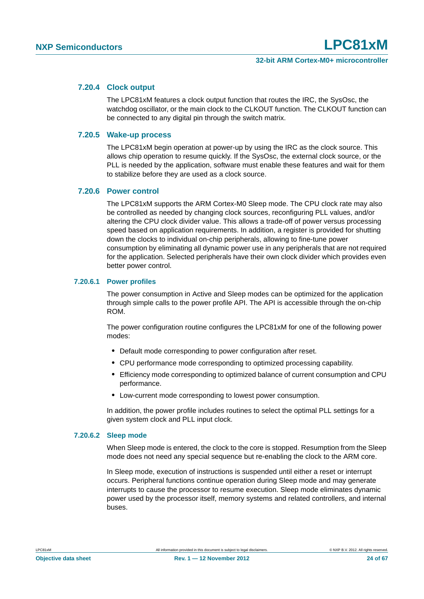#### <span id="page-23-0"></span>**7.20.4 Clock output**

The LPC81xM features a clock output function that routes the IRC, the SysOsc, the watchdog oscillator, or the main clock to the CLKOUT function. The CLKOUT function can be connected to any digital pin through the switch matrix.

#### <span id="page-23-1"></span>**7.20.5 Wake-up process**

The LPC81xM begin operation at power-up by using the IRC as the clock source. This allows chip operation to resume quickly. If the SysOsc, the external clock source, or the PLL is needed by the application, software must enable these features and wait for them to stabilize before they are used as a clock source.

#### <span id="page-23-2"></span>**7.20.6 Power control**

The LPC81xM supports the ARM Cortex-M0 Sleep mode. The CPU clock rate may also be controlled as needed by changing clock sources, reconfiguring PLL values, and/or altering the CPU clock divider value. This allows a trade-off of power versus processing speed based on application requirements. In addition, a register is provided for shutting down the clocks to individual on-chip peripherals, allowing to fine-tune power consumption by eliminating all dynamic power use in any peripherals that are not required for the application. Selected peripherals have their own clock divider which provides even better power control.

#### <span id="page-23-3"></span>**7.20.6.1 Power profiles**

The power consumption in Active and Sleep modes can be optimized for the application through simple calls to the power profile API. The API is accessible through the on-chip ROM.

The power configuration routine configures the LPC81xM for one of the following power modes:

- **•** Default mode corresponding to power configuration after reset.
- **•** CPU performance mode corresponding to optimized processing capability.
- **•** Efficiency mode corresponding to optimized balance of current consumption and CPU performance.
- **•** Low-current mode corresponding to lowest power consumption.

In addition, the power profile includes routines to select the optimal PLL settings for a given system clock and PLL input clock.

#### <span id="page-23-4"></span>**7.20.6.2 Sleep mode**

When Sleep mode is entered, the clock to the core is stopped. Resumption from the Sleep mode does not need any special sequence but re-enabling the clock to the ARM core.

In Sleep mode, execution of instructions is suspended until either a reset or interrupt occurs. Peripheral functions continue operation during Sleep mode and may generate interrupts to cause the processor to resume execution. Sleep mode eliminates dynamic power used by the processor itself, memory systems and related controllers, and internal buses.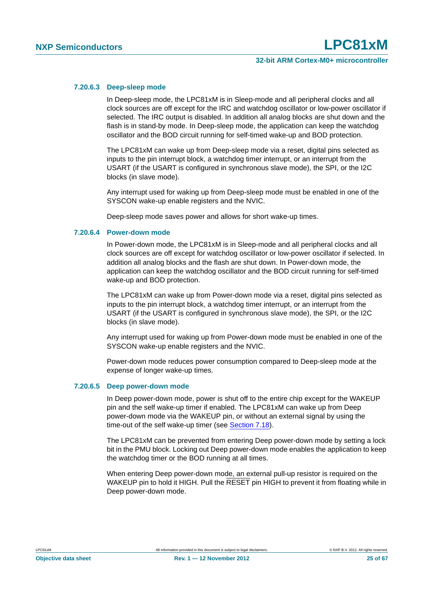#### <span id="page-24-0"></span>**7.20.6.3 Deep-sleep mode**

In Deep-sleep mode, the LPC81xM is in Sleep-mode and all peripheral clocks and all clock sources are off except for the IRC and watchdog oscillator or low-power oscillator if selected. The IRC output is disabled. In addition all analog blocks are shut down and the flash is in stand-by mode. In Deep-sleep mode, the application can keep the watchdog oscillator and the BOD circuit running for self-timed wake-up and BOD protection.

The LPC81xM can wake up from Deep-sleep mode via a reset, digital pins selected as inputs to the pin interrupt block, a watchdog timer interrupt, or an interrupt from the USART (if the USART is configured in synchronous slave mode), the SPI, or the I2C blocks (in slave mode).

Any interrupt used for waking up from Deep-sleep mode must be enabled in one of the SYSCON wake-up enable registers and the NVIC.

Deep-sleep mode saves power and allows for short wake-up times.

#### <span id="page-24-1"></span>**7.20.6.4 Power-down mode**

In Power-down mode, the LPC81xM is in Sleep-mode and all peripheral clocks and all clock sources are off except for watchdog oscillator or low-power oscillator if selected. In addition all analog blocks and the flash are shut down. In Power-down mode, the application can keep the watchdog oscillator and the BOD circuit running for self-timed wake-up and BOD protection.

The LPC81xM can wake up from Power-down mode via a reset, digital pins selected as inputs to the pin interrupt block, a watchdog timer interrupt, or an interrupt from the USART (if the USART is configured in synchronous slave mode), the SPI, or the I2C blocks (in slave mode).

Any interrupt used for waking up from Power-down mode must be enabled in one of the SYSCON wake-up enable registers and the NVIC.

Power-down mode reduces power consumption compared to Deep-sleep mode at the expense of longer wake-up times.

#### <span id="page-24-2"></span>**7.20.6.5 Deep power-down mode**

In Deep power-down mode, power is shut off to the entire chip except for the WAKEUP pin and the self wake-up timer if enabled. The LPC81xM can wake up from Deep power-down mode via the WAKEUP pin, or without an external signal by using the time-out of the self wake-up timer (see [Section 7.18](#page-19-0)).

The LPC81xM can be prevented from entering Deep power-down mode by setting a lock bit in the PMU block. Locking out Deep power-down mode enables the application to keep the watchdog timer or the BOD running at all times.

When entering Deep power-down mode, an external pull-up resistor is required on the WAKEUP pin to hold it HIGH. Pull the RESET pin HIGH to prevent it from floating while in Deep power-down mode.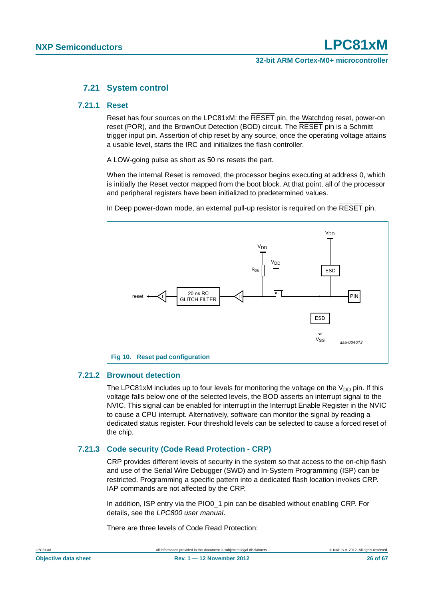#### **7.21 System control**

#### <span id="page-25-2"></span><span id="page-25-1"></span>**7.21.1 Reset**

Reset has four sources on the LPC81xM: the RESET pin, the Watchdog reset, power-on reset (POR), and the BrownOut Detection (BOD) circuit. The RESET pin is a Schmitt trigger input pin. Assertion of chip reset by any source, once the operating voltage attains a usable level, starts the IRC and initializes the flash controller.

A LOW-going pulse as short as 50 ns resets the part.

When the internal Reset is removed, the processor begins executing at address 0, which is initially the Reset vector mapped from the boot block. At that point, all of the processor and peripheral registers have been initialized to predetermined values.

In Deep power-down mode, an external pull-up resistor is required on the RESET pin.



#### <span id="page-25-3"></span>**7.21.2 Brownout detection**

<span id="page-25-0"></span>The LPC81xM includes up to four levels for monitoring the voltage on the  $V_{DD}$  pin. If this voltage falls below one of the selected levels, the BOD asserts an interrupt signal to the NVIC. This signal can be enabled for interrupt in the Interrupt Enable Register in the NVIC to cause a CPU interrupt. Alternatively, software can monitor the signal by reading a dedicated status register. Four threshold levels can be selected to cause a forced reset of the chip.

#### <span id="page-25-4"></span>**7.21.3 Code security (Code Read Protection - CRP)**

CRP provides different levels of security in the system so that access to the on-chip flash and use of the Serial Wire Debugger (SWD) and In-System Programming (ISP) can be restricted. Programming a specific pattern into a dedicated flash location invokes CRP. IAP commands are not affected by the CRP.

In addition, ISP entry via the PIO0 1 pin can be disabled without enabling CRP. For details, see the *LPC800 user manual*.

There are three levels of Code Read Protection: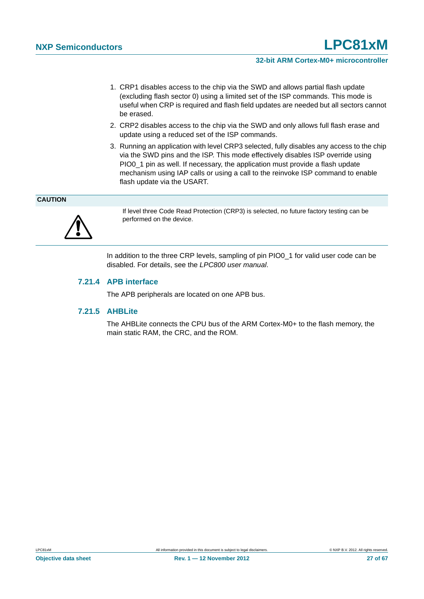- 1. CRP1 disables access to the chip via the SWD and allows partial flash update (excluding flash sector 0) using a limited set of the ISP commands. This mode is useful when CRP is required and flash field updates are needed but all sectors cannot be erased.
- 2. CRP2 disables access to the chip via the SWD and only allows full flash erase and update using a reduced set of the ISP commands.
- 3. Running an application with level CRP3 selected, fully disables any access to the chip via the SWD pins and the ISP. This mode effectively disables ISP override using PIO0\_1 pin as well. If necessary, the application must provide a flash update mechanism using IAP calls or using a call to the reinvoke ISP command to enable flash update via the USART.

#### **CAUTION**



If level three Code Read Protection (CRP3) is selected, no future factory testing can be performed on the device.

In addition to the three CRP levels, sampling of pin PIO0\_1 for valid user code can be disabled. For details, see the *LPC800 user manual*.

#### <span id="page-26-0"></span>**7.21.4 APB interface**

The APB peripherals are located on one APB bus.

#### <span id="page-26-1"></span>**7.21.5 AHBLite**

The AHBLite connects the CPU bus of the ARM Cortex-M0+ to the flash memory, the main static RAM, the CRC, and the ROM.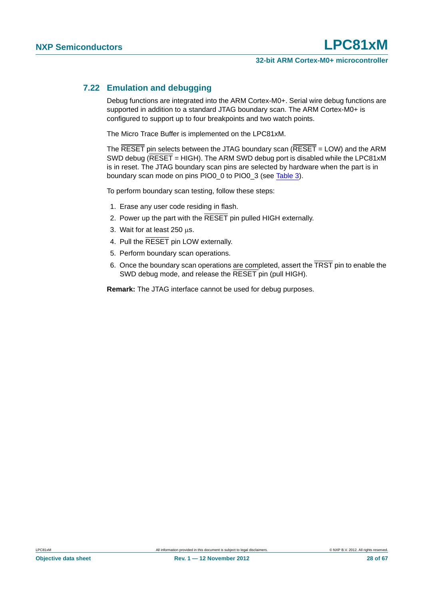#### <span id="page-27-0"></span>**7.22 Emulation and debugging**

Debug functions are integrated into the ARM Cortex-M0+. Serial wire debug functions are supported in addition to a standard JTAG boundary scan. The ARM Cortex-M0+ is configured to support up to four breakpoints and two watch points.

The Micro Trace Buffer is implemented on the LPC81xM.

The  $\overline{\text{RESET}}$  pin selects between the JTAG boundary scan ( $\overline{\text{RESET}}$  = LOW) and the ARM SWD debug (RESET = HIGH). The ARM SWD debug port is disabled while the LPC81xM is in reset. The JTAG boundary scan pins are selected by hardware when the part is in boundary scan mode on pins PIO0\_0 to PIO0\_3 (see [Table 3](#page-6-0)).

To perform boundary scan testing, follow these steps:

- 1. Erase any user code residing in flash.
- 2. Power up the part with the RESET pin pulled HIGH externally.
- 3. Wait for at least  $250 \,\mu s$ .
- 4. Pull the RESET pin LOW externally.
- 5. Perform boundary scan operations.
- 6. Once the boundary scan operations are completed, assert the  $\overline{\text{TRST}}$  pin to enable the SWD debug mode, and release the RESET pin (pull HIGH).

**Remark:** The JTAG interface cannot be used for debug purposes.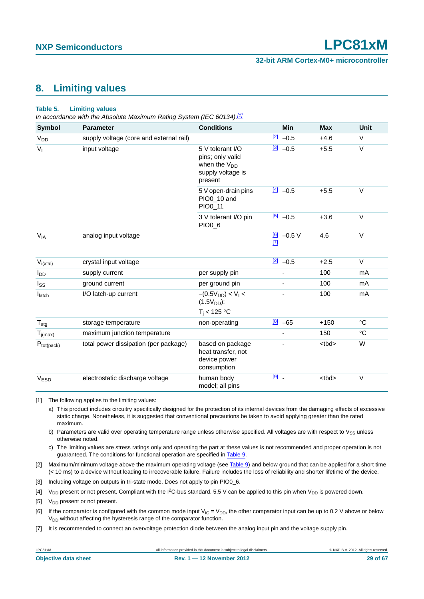#### **32-bit ARM Cortex-M0+ microcontroller**

### <span id="page-28-7"></span>**8. Limiting values**

#### **Table 5. Limiting values**

*In accordance with the Absolute Maximum Rating System (IEC 60134)[.\[1\]](#page-28-2)*

| <b>Symbol</b>         | <b>Parameter</b>                        | <b>Conditions</b>                                                                         | <b>Min</b>                | <b>Max</b>  | <b>Unit</b>  |
|-----------------------|-----------------------------------------|-------------------------------------------------------------------------------------------|---------------------------|-------------|--------------|
| <b>V<sub>DD</sub></b> | supply voltage (core and external rail) |                                                                                           | $\boxed{2}$ -0.5          | $+4.6$      | $\vee$       |
| $V_{I}$               | input voltage                           | 5 V tolerant I/O<br>pins; only valid<br>when the $V_{DD}$<br>supply voltage is<br>present | $\frac{3}{2}$ -0.5        | $+5.5$      | $\vee$       |
|                       |                                         | 5 V open-drain pins<br>PIO0_10 and<br>PIO0_11                                             | $[4] -0.5$                | $+5.5$      | $\vee$       |
|                       |                                         | 3 V tolerant I/O pin<br>PIO0_6                                                            | $\boxed{5}$<br>$-0.5$     | $+3.6$      | $\vee$       |
| $V_{IA}$              | analog input voltage                    |                                                                                           | $6$ -0.5 V<br>$\boxed{7}$ | 4.6         | $\vee$       |
| $V_{i(xtal)}$         | crystal input voltage                   |                                                                                           | $[2] -0.5$                | $+2.5$      | $\vee$       |
| l <sub>DD</sub>       | supply current                          | per supply pin                                                                            |                           | 100         | mA           |
| I <sub>SS</sub>       | ground current                          | per ground pin                                                                            |                           | 100         | mA           |
| $I_{\text{latch}}$    | I/O latch-up current                    | $-(0.5V_{DD}) < V1$<br>$(1.5V_{DD});$<br>$T_i < 125$ °C                                   |                           | 100         | mA           |
| $T_{\text{stg}}$      | storage temperature                     | non-operating                                                                             | $\frac{[8]}{[6]}$ -65     | $+150$      | $^{\circ}C$  |
| $T_{j(max)}$          | maximum junction temperature            |                                                                                           |                           | 150         | $^{\circ}$ C |
| $P_{tot(pack)}$       | total power dissipation (per package)   | based on package<br>heat transfer, not<br>device power<br>consumption                     |                           | <tbd></tbd> | W            |
| V <sub>ESD</sub>      | electrostatic discharge voltage         | human body<br>model; all pins                                                             | $9$ .                     | <tbd></tbd> | $\mathsf V$  |

<span id="page-28-2"></span>[1] The following applies to the limiting values:

a) This product includes circuitry specifically designed for the protection of its internal devices from the damaging effects of excessive static charge. Nonetheless, it is suggested that conventional precautions be taken to avoid applying greater than the rated maximum.

b) Parameters are valid over operating temperature range unless otherwise specified. All voltages are with respect to  $V_{SS}$  unless otherwise noted.

c) The limiting values are stress ratings only and operating the part at these values is not recommended and proper operation is not guaranteed. The conditions for functional operation are specified in [Table 9.](#page-30-0)

<span id="page-28-6"></span>[2] Maximum/minimum voltage above the maximum operating voltage (see [Table 9\)](#page-30-0) and below ground that can be applied for a short time (< 10 ms) to a device without leading to irrecoverable failure. Failure includes the loss of reliability and shorter lifetime of the device.

<span id="page-28-3"></span>[3] Including voltage on outputs in tri-state mode. Does not apply to pin PIO0\_6.

<span id="page-28-0"></span>[4]  $V_{DD}$  present or not present. Compliant with the I<sup>2</sup>C-bus standard. 5.5 V can be applied to this pin when V<sub>DD</sub> is powered down.

<span id="page-28-1"></span>[5]  $V_{DD}$  present or not present.

<span id="page-28-4"></span>[6] If the comparator is configured with the common mode input  $V_{IC} = V_{DD}$ , the other comparator input can be up to 0.2 V above or below  $V<sub>DD</sub>$  without affecting the hysteresis range of the comparator function.

<span id="page-28-5"></span>[7] It is recommended to connect an overvoltage protection diode between the analog input pin and the voltage supply pin.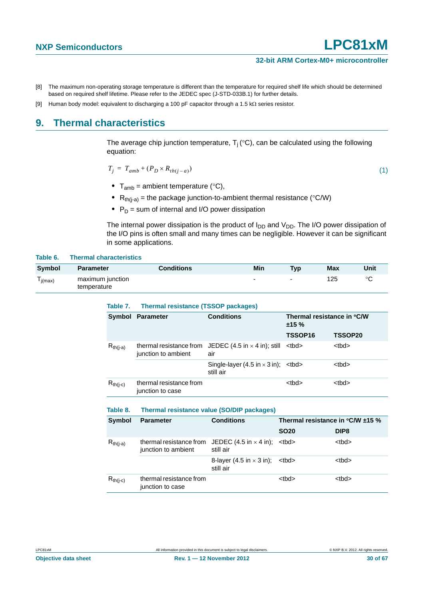- <span id="page-29-0"></span>[8] The maximum non-operating storage temperature is different than the temperature for required shelf life which should be determined based on required shelf lifetime. Please refer to the JEDEC spec (J-STD-033B.1) for further details.
- <span id="page-29-1"></span>[9] Human body model: equivalent to discharging a 100 pF capacitor through a 1.5 k $\Omega$  series resistor.

### <span id="page-29-2"></span>**9. Thermal characteristics**

The average chip junction temperature,  $T_i$  (°C), can be calculated using the following equation:

$$
T_j = T_{amb} + (P_D \times R_{th(j-a)}) \tag{1}
$$

- $T_{amb}$  = ambient temperature ( $°C$ ),
- $R_{th(i-a)}$  = the package junction-to-ambient thermal resistance (°C/W)
- $P_D$  = sum of internal and I/O power dissipation

**Table 7. Thermal resistance (TSSOP packages)**

The internal power dissipation is the product of  $I_{DD}$  and  $V_{DD}$ . The I/O power dissipation of the I/O pins is often small and many times can be negligible. However it can be significant in some applications.

#### **Table 6. Thermal characteristics**

| Symbol                               | <b>Parameter</b>                | <b>Conditions</b> | Min                      | <b>Typ</b>               | <b>Max</b> | Unit    |
|--------------------------------------|---------------------------------|-------------------|--------------------------|--------------------------|------------|---------|
| $\overline{\phantom{a}}$<br>l j(max) | maximum junction<br>temperature |                   | $\overline{\phantom{0}}$ | $\overline{\phantom{a}}$ | 125        | $\circ$ |

| <b>Symbol</b> | <b>Parameter</b>                               | <b>Conditions</b>                                               | Thermal resistance in °C/W<br>±15% |             |  |
|---------------|------------------------------------------------|-----------------------------------------------------------------|------------------------------------|-------------|--|
|               |                                                |                                                                 | TSSOP <sub>16</sub>                | TSSOP20     |  |
| $R_{th(i-a)}$ | thermal resistance from<br>junction to ambient | JEDEC $(4.5 \text{ in} \times 4 \text{ in})$ ; still<br>air     | <tbd></tbd>                        | <tbd></tbd> |  |
|               |                                                | Single-layer (4.5 in $\times$ 3 in); $\times$ tbd><br>still air |                                    | <tbd></tbd> |  |
| $R_{th(i-c)}$ | thermal resistance from<br>junction to case    |                                                                 | <tbd></tbd>                        | <tbd></tbd> |  |

#### **Table 8. Thermal resistance value (SO/DIP packages)**

| <b>Symbol</b> | <b>Parameter</b>                                                                              | <b>Conditions</b>                            | Thermal resistance in $°C/W \pm 15$ % |                  |  |  |
|---------------|-----------------------------------------------------------------------------------------------|----------------------------------------------|---------------------------------------|------------------|--|--|
|               |                                                                                               |                                              | <b>SO20</b>                           | DIP <sub>8</sub> |  |  |
| $R_{th(i-a)}$ | thermal resistance from JEDEC $(4.5 \text{ in} \times 4 \text{ in})$ ;<br>junction to ambient | still air                                    | <tbd></tbd>                           | <tbd></tbd>      |  |  |
|               |                                                                                               | 8-layer (4.5 in $\times$ 3 in);<br>still air | <tbd></tbd>                           | <tbd></tbd>      |  |  |
| $R_{th(i-c)}$ | thermal resistance from<br>junction to case                                                   |                                              | <tbd></tbd>                           | <tbd></tbd>      |  |  |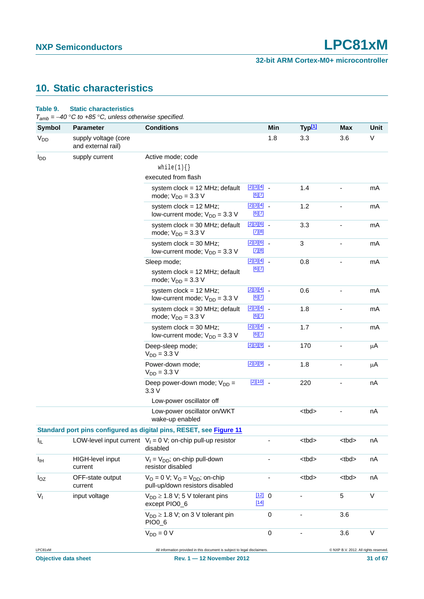## <span id="page-30-1"></span>**10. Static characteristics**

#### <span id="page-30-0"></span>**Table 9. Static characteristics**

*Tamb = 40 C to +85 C, unless otherwise specified.*

| <b>Symbol</b>         | <b>Parameter</b>                           | <b>Conditions</b>                                                          |                                                       | Min | Typ <sup>[1]</sup> | Max                                   | Unit |
|-----------------------|--------------------------------------------|----------------------------------------------------------------------------|-------------------------------------------------------|-----|--------------------|---------------------------------------|------|
| <b>V<sub>DD</sub></b> | supply voltage (core<br>and external rail) |                                                                            |                                                       | 1.8 | 3.3                | 3.6                                   | V    |
| $I_{DD}$              | supply current                             | Active mode; code                                                          |                                                       |     |                    |                                       |      |
|                       |                                            | while(1) $\{\}$                                                            |                                                       |     |                    |                                       |      |
|                       |                                            | executed from flash                                                        |                                                       |     |                    |                                       |      |
|                       |                                            | system $clock = 12 MHz$ ; default<br>mode; $V_{DD} = 3.3 V$                | $\begin{bmatrix} 2 \\ 3 \\ 4 \end{bmatrix}$<br>[6][7] |     | 1.4                |                                       | mA   |
|                       |                                            | system $clock = 12 MHz$ ;<br>low-current mode; $V_{DD} = 3.3 V$            | $[2][3][4]$ -<br>[6][7]                               |     | 1.2                |                                       | mA   |
|                       |                                            | system $clock = 30$ MHz; default<br>mode; $V_{DD} = 3.3 V$                 | [2][3][6]<br>$[7][8]$                                 |     | 3.3                |                                       | mA   |
|                       |                                            | system $clock = 30 MHz$ ;<br>low-current mode; $V_{DD} = 3.3$ V            | [2][3][6]<br>[7][8]                                   |     | 3                  |                                       | mA   |
|                       |                                            | Sleep mode;                                                                | $[2][3][4]$ $-$                                       |     | 0.8                |                                       | mA   |
|                       |                                            | system $clock = 12 MHz$ ; default<br>mode; $V_{DD} = 3.3 V$                | [6][7]                                                |     |                    |                                       |      |
|                       |                                            | system $clock = 12 MHz$ ;<br>low-current mode; $V_{DD} = 3.3$ V            | [2][3][4]<br>[6][7]                                   |     | 0.6                |                                       | mA   |
|                       |                                            | system $clock = 30 MHz$ ; default<br>mode; $V_{DD} = 3.3 V$                | $[2][3][4]$ -<br>[6][7]                               |     | 1.8                |                                       | mA   |
|                       |                                            | system $clock = 30 MHz$ ;<br>low-current mode; $V_{DD} = 3.3$ V            | $[2][3][4]$ -<br>[6][7]                               |     | 1.7                |                                       | mA   |
|                       |                                            | Deep-sleep mode;<br>$V_{DD} = 3.3 V$                                       | [2][3][9]                                             |     | 170                |                                       | μA   |
|                       |                                            | Power-down mode;<br>$V_{DD} = 3.3 V$                                       | $[2][3][9]$ $-$                                       |     | 1.8                |                                       | μA   |
|                       |                                            | Deep power-down mode; $V_{DD} =$<br>3.3V                                   | $[2][10]$ $-$                                         |     | 220                |                                       | nA   |
|                       |                                            | Low-power oscillator off                                                   |                                                       |     |                    |                                       |      |
|                       |                                            | Low-power oscillator on/WKT<br>wake-up enabled                             |                                                       |     | <tbd></tbd>        |                                       | nA   |
|                       |                                            | Standard port pins configured as digital pins, RESET, see Figure 11        |                                                       |     |                    |                                       |      |
| ΙL                    |                                            | LOW-level input current $V_1 = 0$ V; on-chip pull-up resistor<br>disabled  |                                                       |     | <tbd></tbd>        | <tbd></tbd>                           | nA   |
| Iщ                    | <b>HIGH-level input</b><br>current         | $V_1 = V_{DD}$ ; on-chip pull-down<br>resistor disabled                    |                                                       |     | <tbd></tbd>        | <tbd></tbd>                           | nA   |
| $I_{OZ}$              | OFF-state output<br>current                | $V_O = 0$ V; $V_O = V_{DD}$ ; on-chip<br>pull-up/down resistors disabled   |                                                       |     | <tbd></tbd>        | <tbd></tbd>                           | nA   |
| $V_{I}$               | input voltage                              | $V_{DD} \geq 1.8$ V; 5 V tolerant pins<br>except PIO0_6                    | [12] 0<br>$[14]$                                      |     |                    | 5                                     | V    |
|                       |                                            | $V_{DD} \geq 1.8$ V; on 3 V tolerant pin<br>PIO0_6                         | 0                                                     |     |                    | 3.6                                   |      |
|                       |                                            | $V_{DD} = 0 V$                                                             | $\mathbf 0$                                           |     |                    | 3.6                                   | V    |
| LPC81xM               |                                            | All information provided in this document is subject to legal disclaimers. |                                                       |     |                    | C NXP B.V. 2012. All rights reserved. |      |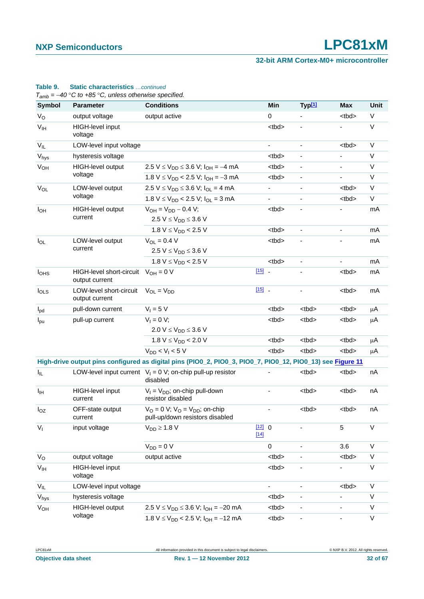#### **32-bit ARM Cortex-M0+ microcontroller**

| Symbol           | <b>Parameter</b>                                          | <b>Conditions</b>                                                                                          |                  | Min                      | Typ <sup>[1]</sup>           | Max                      | <b>Unit</b> |
|------------------|-----------------------------------------------------------|------------------------------------------------------------------------------------------------------------|------------------|--------------------------|------------------------------|--------------------------|-------------|
| $V_{\rm O}$      | output voltage                                            | output active                                                                                              |                  | 0                        |                              | <tbd></tbd>              | $\vee$      |
| V <sub>IH</sub>  | HIGH-level input<br>voltage                               |                                                                                                            |                  | <tbd></tbd>              | $\overline{\phantom{a}}$     |                          | V           |
| $V_{IL}$         | LOW-level input voltage                                   |                                                                                                            |                  | $\overline{\phantom{a}}$ | $\frac{1}{2}$                | <tbd></tbd>              | $\vee$      |
| $V_{\text{hys}}$ | hysteresis voltage                                        |                                                                                                            |                  | <tbd></tbd>              | $\overline{\phantom{a}}$     |                          | $\vee$      |
| $V_{OH}$         | HIGH-level output                                         | 2.5 V $\leq$ V <sub>DD</sub> $\leq$ 3.6 V; I <sub>OH</sub> = -4 mA                                         |                  | <tbd></tbd>              | $\overline{\phantom{0}}$     |                          | $\vee$      |
|                  | voltage                                                   | $1.8 V \le V_{DD}$ < 2.5 V; $I_{OH} = -3 mA$                                                               |                  | <tbd></tbd>              | $\qquad \qquad \blacksquare$ |                          | $\vee$      |
| $V_{OL}$         | LOW-level output                                          | $2.5 V \le V_{DD} \le 3.6 V$ ; $I_{OL} = 4 mA$                                                             |                  | $\overline{\phantom{a}}$ | $\overline{\phantom{a}}$     | <tbd></tbd>              | $\vee$      |
|                  | voltage                                                   | $1.8 V \le V_{DD}$ < 2.5 V; $I_{OL}$ = 3 mA                                                                |                  | $\blacksquare$           | $\overline{\phantom{a}}$     | <tbd></tbd>              | V           |
| $I_{OH}$         | HIGH-level output                                         | $V_{OH} = V_{DD} - 0.4 V$ ;                                                                                |                  | <tbd></tbd>              | $\overline{\phantom{m}}$     |                          | mA          |
|                  | current                                                   | 2.5 $V \le V_{DD} \le 3.6 V$                                                                               |                  |                          |                              |                          |             |
|                  |                                                           | 1.8 $V \leq V_{DD}$ < 2.5 V                                                                                |                  | <tbd></tbd>              | $\blacksquare$               | $\overline{\phantom{a}}$ | mA          |
| $I_{OL}$         | LOW-level output                                          | $V_{OL} = 0.4 V$                                                                                           |                  | <tbd></tbd>              |                              |                          | mA          |
|                  | current                                                   | 2.5 $V \le V_{DD} \le 3.6 V$                                                                               |                  |                          |                              |                          |             |
|                  |                                                           | 1.8 $V \leq V_{DD}$ < 2.5 V                                                                                |                  | <tbd></tbd>              | ÷,                           |                          | mA          |
| I <sub>OHS</sub> | HIGH-level short-circuit $V_{OH} = 0 V$<br>output current |                                                                                                            | $[15]$           |                          |                              | <tbd></tbd>              | mA          |
| $I_{OLS}$        | LOW-level short-circuit<br>output current                 | $V_{OL} = V_{DD}$                                                                                          | $[15]$ _         |                          |                              | <tbd></tbd>              | mA          |
| $I_{\text{pd}}$  | pull-down current                                         | $V_1 = 5 V$                                                                                                |                  | <tbd></tbd>              | <tbd></tbd>                  | <tbd></tbd>              | μA          |
| $I_{\text{pu}}$  | pull-up current                                           | $V_1 = 0 V;$                                                                                               |                  | <tbd></tbd>              | <tbd></tbd>                  | <tbd></tbd>              | μA          |
|                  |                                                           | 2.0 V $\leq$ V <sub>DD</sub> $\leq$ 3.6 V                                                                  |                  |                          |                              |                          |             |
|                  |                                                           | 1.8 $V \leq V_{DD}$ < 2.0 V                                                                                |                  | <tbd></tbd>              | <tbd></tbd>                  | <tbd></tbd>              | μA          |
|                  |                                                           | $V_{DD}$ < $V_1$ < 5 V                                                                                     |                  | <tbd></tbd>              | <tbd></tbd>                  | <tbd></tbd>              | μA          |
|                  |                                                           | High-drive output pins configured as digital pins (PIO0_2, PIO0_3, PIO0_7, PIO0_12, PIO0_13) see Figure 11 |                  |                          |                              |                          |             |
| $I_{IL}$         |                                                           | LOW-level input current $V_1 = 0$ V; on-chip pull-up resistor<br>disabled                                  |                  |                          | <tbd></tbd>                  | <tbd></tbd>              | nA          |
| Iщ               | HIGH-level input<br>current                               | $V_1 = V_{DD}$ ; on-chip pull-down<br>resistor disabled                                                    |                  |                          | <tbd></tbd>                  | <br><sub>td&gt;</sub>    | nA          |
| $I_{OZ}$         | OFF-state output<br>current                               | $V_O = 0$ V; $V_O = V_{DD}$ ; on-chip<br>pull-up/down resistors disabled                                   |                  | $\overline{\phantom{a}}$ | <tbd></tbd>                  | <tbd></tbd>              | nA          |
| $V_{I}$          | input voltage                                             | $V_{DD} \geq 1.8$ V                                                                                        | [12] 0<br>$[14]$ |                          |                              | 5                        | $\vee$      |
|                  |                                                           | $V_{DD} = 0 V$                                                                                             |                  | $\mathbf 0$              |                              | 3.6                      | $\vee$      |
| $V_{\rm O}$      | output voltage                                            | output active                                                                                              |                  | <tbd></tbd>              |                              | <tbd></tbd>              | $\vee$      |
| V <sub>IH</sub>  | HIGH-level input<br>voltage                               |                                                                                                            |                  | <tbd></tbd>              | $\overline{\phantom{a}}$     |                          | V           |
| $V_{IL}$         | LOW-level input voltage                                   |                                                                                                            |                  | $\blacksquare$           | $\overline{\phantom{a}}$     | <tbd></tbd>              | V           |
| V <sub>hys</sub> | hysteresis voltage                                        |                                                                                                            |                  | <tbd></tbd>              | ٠                            |                          | V           |
| V <sub>OH</sub>  | HIGH-level output                                         | $2.5 V \le V_{DD} \le 3.6 V$ ; $I_{OH} = -20 mA$                                                           |                  | <tbd></tbd>              | $\overline{\phantom{a}}$     | $\overline{\phantom{a}}$ | V           |
| voltage          | $1.8 V \le V_{DD}$ < 2.5 V; $I_{OH}$ = -12 mA             |                                                                                                            | <tbd></tbd>      | $\overline{\phantom{0}}$ |                              | $\vee$                   |             |

## **Table 9. Static characteristics** *…continued*

*Tamb = 40 C to +85 C, unless otherwise specified.*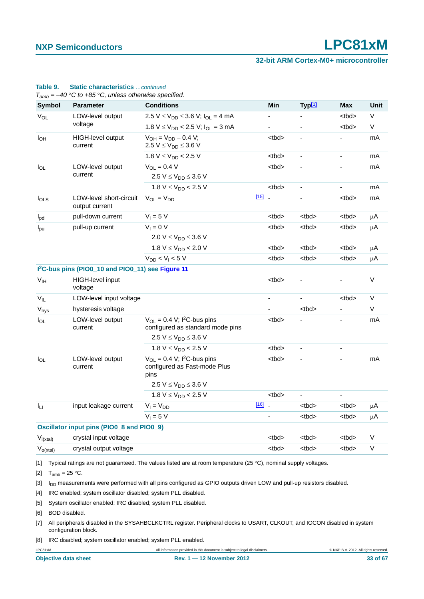#### **32-bit ARM Cortex-M0+ microcontroller**

| <b>Symbol</b>   | <b>Parameter</b>                                              | <b>Conditions</b>                                                                                               |          | Min            | Typ <sup>[1]</sup>       | <b>Max</b>               | <b>Unit</b> |
|-----------------|---------------------------------------------------------------|-----------------------------------------------------------------------------------------------------------------|----------|----------------|--------------------------|--------------------------|-------------|
| $V_{OL}$        | LOW-level output                                              | $2.5 V \le V_{DD} \le 3.6 V$ ; $I_{OL} = 4 mA$                                                                  |          |                |                          | <tbd></tbd>              | V           |
|                 | voltage                                                       | $1.8 V \leq V_{DD}$ < 2.5 V; $I_{OL}$ = 3 mA                                                                    |          | ۰              | $\blacksquare$           | <br><sub>td&gt;</sub>    | V           |
| $I_{OH}$        | <b>HIGH-level output</b><br>current                           | $V_{OH} = V_{DD} - 0.4 V$ ;<br>2.5 V $\leq$ V <sub>DD</sub> $\leq$ 3.6 V                                        |          | <tbd></tbd>    | $\overline{\phantom{a}}$ |                          | mA          |
|                 |                                                               | 1.8 $V \leq V_{DD}$ < 2.5 V                                                                                     |          | <tbd></tbd>    | $\overline{\phantom{a}}$ | $\overline{\phantom{a}}$ | mA          |
| $I_{OL}$        | LOW-level output                                              | $V_{OL} = 0.4 V$                                                                                                |          | <tbd></tbd>    |                          |                          | mA          |
|                 | current                                                       | 2.5 $V \le V_{DD} \le 3.6 V$                                                                                    |          |                |                          |                          |             |
|                 |                                                               | 1.8 $V \leq V_{DD}$ < 2.5 V                                                                                     |          | <tbd></tbd>    | $\blacksquare$           |                          | mA          |
| $I_{OLS}$       | LOW-level short-circuit<br>output current                     | $V_{OL} = V_{DD}$                                                                                               | $[15]$ . |                |                          | <tbd></tbd>              | mA          |
| $I_{\text{pd}}$ | pull-down current                                             | $V_1 = 5 V$                                                                                                     |          | <tbd></tbd>    | <tbd></tbd>              | <tbd></tbd>              | μA          |
| $I_{\text{pu}}$ | pull-up current                                               | $V_1 = 0 V$                                                                                                     |          | <tbd></tbd>    | <tbd></tbd>              | <tbd></tbd>              | μA          |
|                 |                                                               | 2.0 $V \le V_{DD} \le 3.6 V$                                                                                    |          |                |                          |                          |             |
|                 |                                                               | 1.8 $V \leq V_{DD}$ < 2.0 V                                                                                     |          | <tbd></tbd>    | <tbd></tbd>              | <tbd></tbd>              | μA          |
|                 |                                                               | $V_{DD}$ < $V_1$ < 5 V                                                                                          |          | <tbd></tbd>    | <tbd></tbd>              | <tbd></tbd>              | μA          |
|                 | I <sup>2</sup> C-bus pins (PIO0_10 and PIO0_11) see Figure 11 |                                                                                                                 |          |                |                          |                          |             |
| V <sub>IH</sub> | HIGH-level input<br>voltage                                   |                                                                                                                 |          | <tbd></tbd>    |                          |                          | V           |
| $V_{IL}$        | LOW-level input voltage                                       |                                                                                                                 |          |                |                          | <tbd></tbd>              | V           |
| Vhys            | hysteresis voltage                                            |                                                                                                                 |          | $\overline{a}$ | <tbd></tbd>              |                          | V           |
| $I_{OL}$        | LOW-level output<br>current                                   | $V_{OL} = 0.4$ V; I <sup>2</sup> C-bus pins<br>configured as standard mode pins<br>2.5 $V \le V_{DD} \le 3.6 V$ |          | <tbd></tbd>    |                          |                          | mA          |
|                 |                                                               | 1.8 $V \leq V_{DD}$ < 2.5 V                                                                                     |          | <tbd></tbd>    | $\blacksquare$           | $\overline{\phantom{a}}$ |             |
| $I_{OL}$        | LOW-level output<br>current                                   | $V_{OL}$ = 0.4 V; I <sup>2</sup> C-bus pins<br>configured as Fast-mode Plus<br>pins                             |          | <tbd></tbd>    |                          |                          | mA          |
|                 |                                                               | 2.5 $V \le V_{DD} \le 3.6 V$                                                                                    |          |                |                          |                          |             |
|                 |                                                               | 1.8 $V \leq V_{DD}$ < 2.5 V                                                                                     |          | <tbd></tbd>    |                          | $\blacksquare$           |             |
| Īц              | input leakage current                                         | $V_I = V_{DD}$                                                                                                  | $[16]$   |                | <tbd></tbd>              | <tbd></tbd>              | μA          |
|                 |                                                               | $V_1 = 5 V$                                                                                                     |          | $\frac{1}{2}$  | <tbd></tbd>              | <tbd></tbd>              | μA          |
|                 | Oscillator input pins (PIO0_8 and PIO0_9)                     |                                                                                                                 |          |                |                          |                          |             |
| $V_{i(xtal)}$   | crystal input voltage                                         |                                                                                                                 |          | <tbd></tbd>    | <tbd></tbd>              | <tbd></tbd>              | V           |
| $V_{o(xtal)}$   | crystal output voltage                                        |                                                                                                                 |          | <tbd></tbd>    | <tbd></tbd>              | <tbd></tbd>              | V           |

#### **Table 9. Static characteristics** *…continued*

<span id="page-32-1"></span><span id="page-32-0"></span>[2]  $T_{amb} = 25 °C$ .

<span id="page-32-2"></span>[3] I<sub>DD</sub> measurements were performed with all pins configured as GPIO outputs driven LOW and pull-up resistors disabled.

<span id="page-32-3"></span>[4] IRC enabled; system oscillator disabled; system PLL disabled.

[5] System oscillator enabled; IRC disabled; system PLL disabled.

<span id="page-32-4"></span>[6] BOD disabled.

<span id="page-32-5"></span>[7] All peripherals disabled in the SYSAHBCLKCTRL register. Peripheral clocks to USART, CLKOUT, and IOCON disabled in system configuration block.

<span id="page-32-6"></span>[8] IRC disabled; system oscillator enabled; system PLL enabled.

LPC81xM All information provided in this document is subject to legal disclaimers. © NXP B.V. 2012. All rights reserved.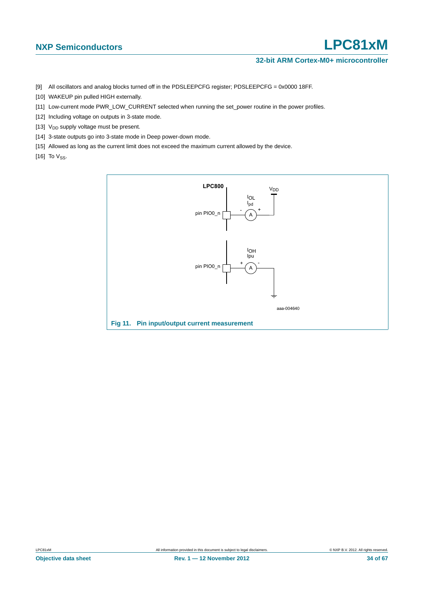#### **32-bit ARM Cortex-M0+ microcontroller**

- <span id="page-33-0"></span>[9] All oscillators and analog blocks turned off in the PDSLEEPCFG register; PDSLEEPCFG = 0x0000 18FF.
- <span id="page-33-1"></span>[10] WAKEUP pin pulled HIGH externally.
- [11] Low-current mode PWR\_LOW\_CURRENT selected when running the set\_power routine in the power profiles.
- <span id="page-33-2"></span>[12] Including voltage on outputs in 3-state mode.
- [13]  $V_{DD}$  supply voltage must be present.
- <span id="page-33-3"></span>[14] 3-state outputs go into 3-state mode in Deep power-down mode.
- <span id="page-33-5"></span>[15] Allowed as long as the current limit does not exceed the maximum current allowed by the device.
- <span id="page-33-6"></span>[16] To  $V_{SS}$ .

<span id="page-33-4"></span>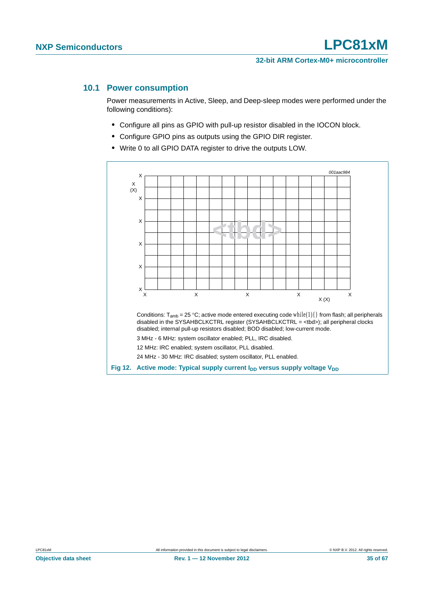#### <span id="page-34-0"></span>**10.1 Power consumption**

Power measurements in Active, Sleep, and Deep-sleep modes were performed under the following conditions):

- **•** Configure all pins as GPIO with pull-up resistor disabled in the IOCON block.
- **•** Configure GPIO pins as outputs using the GPIO DIR register.
- **•** Write 0 to all GPIO DATA register to drive the outputs LOW.

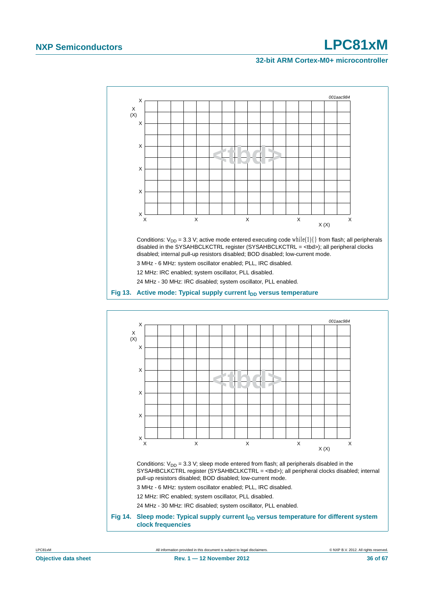#### **32-bit ARM Cortex-M0+ microcontroller**



Conditions:  $V_{DD} = 3.3$  V; sleep mode entered from flash; all peripherals disabled in the SYSAHBCLKCTRL register (SYSAHBCLKCTRL = <tbd>); all peripheral clocks disabled; internal pull-up resistors disabled; BOD disabled; low-current mode.

 $\times$  X  $\times$  X  $\times$  X  $\times$ 

3 MHz - 6 MHz: system oscillator enabled; PLL, IRC disabled.

12 MHz: IRC enabled; system oscillator, PLL disabled.

X

X

X

24 MHz - 30 MHz: IRC disabled; system oscillator, PLL enabled.

Fig 14. Sleep mode: Typical supply current I<sub>DD</sub> versus temperature for different system **clock frequencies**

 $X(X)$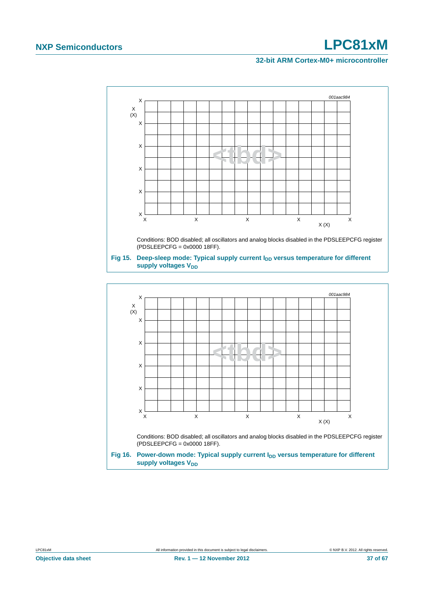#### **32-bit ARM Cortex-M0+ microcontroller**



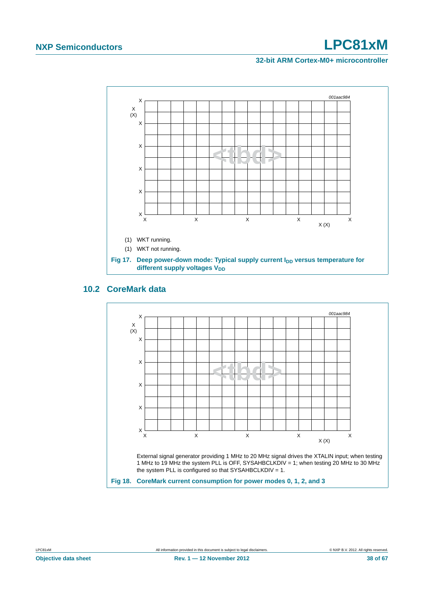#### **32-bit ARM Cortex-M0+ microcontroller**



### <span id="page-37-0"></span>**10.2 CoreMark data**

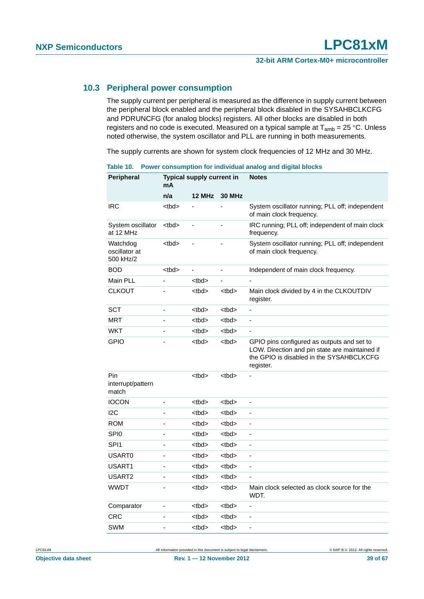#### <span id="page-38-0"></span>**10.3 Peripheral power consumption**

The supply current per peripheral is measured as the difference in supply current between the peripheral block enabled and the peripheral block disabled in the SYSAHBCLKCFG and PDRUNCFG (for analog blocks) registers. All other blocks are disabled in both registers and no code is executed. Measured on a typical sample at  $T_{amb} = 25 \degree C$ . Unless noted otherwise, the system oscillator and PLL are running in both measurements.

The supply currents are shown for system clock frequencies of 12 MHz and 30 MHz.

| Peripheral                             | mA          | Typical supply current in |                          | <b>Notes</b>                                                                                                                                          |
|----------------------------------------|-------------|---------------------------|--------------------------|-------------------------------------------------------------------------------------------------------------------------------------------------------|
|                                        | n/a         | 12 MHz                    | <b>30 MHz</b>            |                                                                                                                                                       |
| IRC                                    | <tbd></tbd> |                           |                          | System oscillator running; PLL off; independent<br>of main clock frequency.                                                                           |
| System oscillator<br>at 12 MHz         | <tbd></tbd> |                           |                          | IRC running; PLL off; independent of main clock<br>frequency.                                                                                         |
| Watchdog<br>oscillator at<br>500 kHz/2 | <tbd></tbd> | ä,                        |                          | System oscillator running; PLL off; independent<br>of main clock frequency.                                                                           |
| <b>BOD</b>                             | <tbd></tbd> | ÷,                        | $\overline{\phantom{a}}$ | Independent of main clock frequency.                                                                                                                  |
| Main PLL                               |             | <br><sub>th</sub>         | $\overline{a}$           |                                                                                                                                                       |
| <b>CLKOUT</b>                          |             | <tbd></tbd>               | <tbd></tbd>              | Main clock divided by 4 in the CLKOUTDIV<br>register.                                                                                                 |
| SCT                                    | -           | <tbd></tbd>               | <tbd></tbd>              | -                                                                                                                                                     |
| MRT                                    | Ĭ.          | <tbd></tbd>               | <tbd></tbd>              | ÷,                                                                                                                                                    |
| WKT                                    |             | <br><sub>td&gt;</sub>     | <tbd></tbd>              | ÷,                                                                                                                                                    |
| <b>GPIO</b>                            |             | <tbd></tbd>               | <tbd></tbd>              | GPIO pins configured as outputs and set to<br>LOW. Direction and pin state are maintained if<br>the GPIO is disabled in the SYSAHBCLKCFG<br>register. |
| Pin<br>interrupt/pattern<br>match      |             | <tbd></tbd>               | <tbd></tbd>              |                                                                                                                                                       |
| <b>IOCON</b>                           | ÷,          | <tbd></tbd>               | <tbd></tbd>              | $\qquad \qquad \blacksquare$                                                                                                                          |
| 12C                                    | L           | <tbd></tbd>               | <tbd></tbd>              | $\overline{\phantom{0}}$                                                                                                                              |
| <b>ROM</b>                             |             | <tbd></tbd>               | <tbd></tbd>              | ÷,                                                                                                                                                    |
| SPI <sub>0</sub>                       | L           | <tbd></tbd>               | <tbd></tbd>              | ä,                                                                                                                                                    |
| SPI <sub>1</sub>                       | L           | <tbd></tbd>               | <tbd></tbd>              | ä,                                                                                                                                                    |
| <b>USART0</b>                          | -           | <tbd></tbd>               | <tbd></tbd>              |                                                                                                                                                       |
| USART1                                 |             | <tbd></tbd>               | <tbd></tbd>              | $\frac{1}{2}$                                                                                                                                         |
| USART2                                 |             | <tbd></tbd>               | <tbd></tbd>              | ÷,                                                                                                                                                    |
| <b>WWDT</b>                            |             | <tbd></tbd>               | <tbd></tbd>              | Main clock selected as clock source for the<br>WDT.                                                                                                   |
| Comparator                             | ÷,          | <tbd></tbd>               | <tbd></tbd>              | ä,                                                                                                                                                    |
| <b>CRC</b>                             |             | <tbd></tbd>               | <thd></thd>              | $\overline{\phantom{0}}$                                                                                                                              |
| <b>SWM</b>                             | -           | <tbd></tbd>               | <tbd></tbd>              | $\qquad \qquad \blacksquare$                                                                                                                          |

**Table 10. Power consumption for individual analog and digital blocks**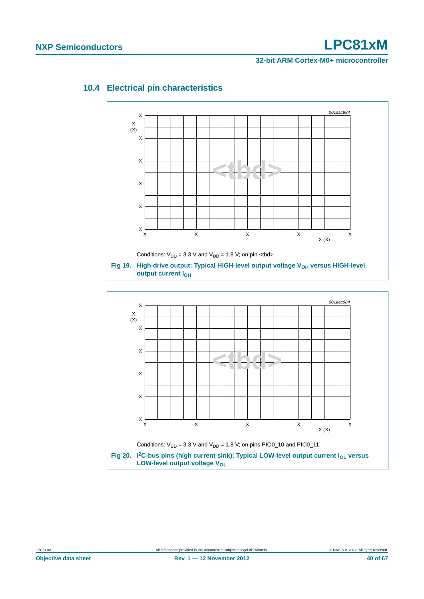#### **32-bit ARM Cortex-M0+ microcontroller**



### <span id="page-39-0"></span>**10.4 Electrical pin characteristics**

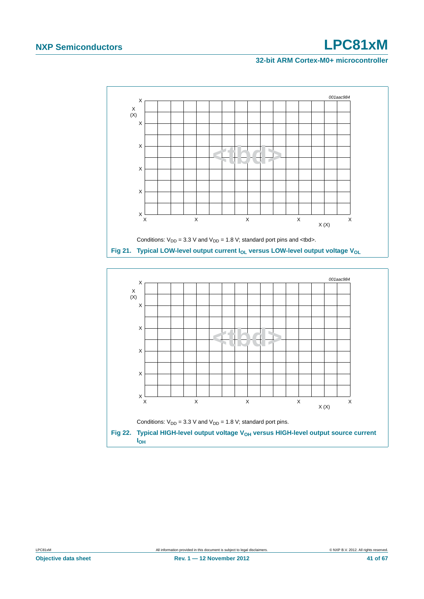#### **32-bit ARM Cortex-M0+ microcontroller**



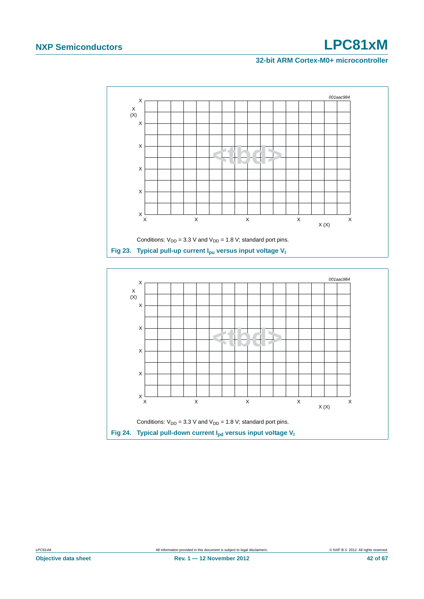#### **32-bit ARM Cortex-M0+ microcontroller**



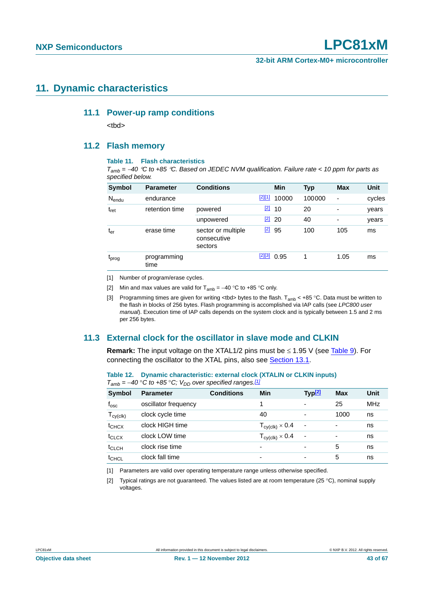### <span id="page-42-6"></span><span id="page-42-5"></span>**11. Dynamic characteristics**

#### **11.1 Power-up ramp conditions**

<tbd>

#### <span id="page-42-7"></span>**11.2 Flash memory**

#### **Table 11. Flash characteristics**

*Tamb = 40 C to +85 C. Based on JEDEC NVM qualification. Failure rate < 10 ppm for parts as specified below.*

| Symbol            | <b>Parameter</b>    | <b>Conditions</b>                            |             | Min        | Typ    | <b>Max</b>               | Unit   |
|-------------------|---------------------|----------------------------------------------|-------------|------------|--------|--------------------------|--------|
| $N_{endu}$        | endurance           |                                              | [2][1]      | 10000      | 100000 | $\overline{\phantom{0}}$ | cycles |
| $t_{\rm ret}$     | retention time      | powered                                      | $[2]$       | 10         | 20     | $\blacksquare$           | years  |
|                   |                     | unpowered                                    | $\boxed{2}$ | 20         | 40     | $\overline{\phantom{a}}$ | years  |
| $t_{er}$          | erase time          | sector or multiple<br>consecutive<br>sectors | $[2]$       | 95         | 100    | 105                      | ms     |
| t <sub>prog</sub> | programming<br>time |                                              |             | $213$ 0.95 |        | 1.05                     | ms     |

<span id="page-42-1"></span>[1] Number of program/erase cycles.

<span id="page-42-0"></span>[2] Min and max values are valid for  $T_{amb} = -40$  °C to +85 °C only.

<span id="page-42-2"></span>[3] Programming times are given for writing <tbd> bytes to the flash.  $T_{amb}$  < +85 °C. Data must be written to the flash in blocks of 256 bytes. Flash programming is accomplished via IAP calls (see *LPC800 user manual*). Execution time of IAP calls depends on the system clock and is typically between 1.5 and 2 ms per 256 bytes.

#### <span id="page-42-8"></span>**11.3 External clock for the oscillator in slave mode and CLKIN**

**Remark:** The input voltage on the XTAL1/2 pins must be  $\leq$  1.95 V (see [Table 9](#page-30-0)). For connecting the oscillator to the XTAL pins, also see [Section 13.1](#page-51-0).

| Table 12. Dynamic characteristic: external clock (XTALIN or CLKIN inputs) |
|---------------------------------------------------------------------------|
| $T_{amb}$ = -40 °C to +85 °C; V <sub>DD</sub> over specified ranges.[1]   |

| <b>Symbol</b>     | <b>Parameter</b>     | <b>Conditions</b> | Min                                       | Typ <sup>[2]</sup>       | <b>Max</b>               | Unit       |
|-------------------|----------------------|-------------------|-------------------------------------------|--------------------------|--------------------------|------------|
| $f_{\rm osc}$     | oscillator frequency |                   |                                           | $\overline{\phantom{0}}$ | 25                       | <b>MHz</b> |
| $T_{cy(clk)}$     | clock cycle time     |                   | 40                                        | $\overline{\phantom{0}}$ | 1000                     | ns         |
| $t_{CHCX}$        | clock HIGH time      |                   | $T_{\mathsf{cy}(\mathsf{clk})}\times 0.4$ | $\blacksquare$           | $\overline{\phantom{0}}$ | ns         |
| $t_{CLCX}$        | clock LOW time       |                   | $T_{\text{cy}(\text{clk})} \times 0.4$    | $\blacksquare$           | $\overline{\phantom{0}}$ | ns         |
| $t_{CLCH}$        | clock rise time      |                   |                                           |                          | 5                        | ns         |
| t <sub>CHCL</sub> | clock fall time      |                   | -                                         | $\overline{\phantom{0}}$ | 5                        | ns         |

<span id="page-42-3"></span>[1] Parameters are valid over operating temperature range unless otherwise specified.

<span id="page-42-4"></span>[2] Typical ratings are not guaranteed. The values listed are at room temperature (25 °C), nominal supply voltages.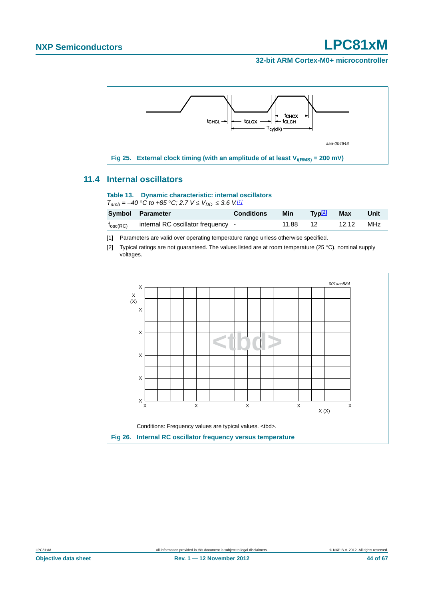

#### <span id="page-43-2"></span>**11.4 Internal oscillators**

#### **Table 13. Dynamic characteristic: internal oscillators**

 $T_{amb} = -40$  °C to  $+85$  °C; 2.7  $V \leq V_{DD} \leq 3.6$  V<sup>[1]</sup>

|                   | Symbol Parameter                   | <b>Conditions</b> | Min   | Tvp <mark>l4</mark> | <b>Max</b> | Unit |
|-------------------|------------------------------------|-------------------|-------|---------------------|------------|------|
| $f_{\rm osc(RC)}$ | internal RC oscillator frequency - |                   | 11.88 | 12                  | 12.12      | MHz  |

<span id="page-43-0"></span>[1] Parameters are valid over operating temperature range unless otherwise specified.

<span id="page-43-1"></span>[2] Typical ratings are not guaranteed. The values listed are at room temperature (25 °C), nominal supply voltages.

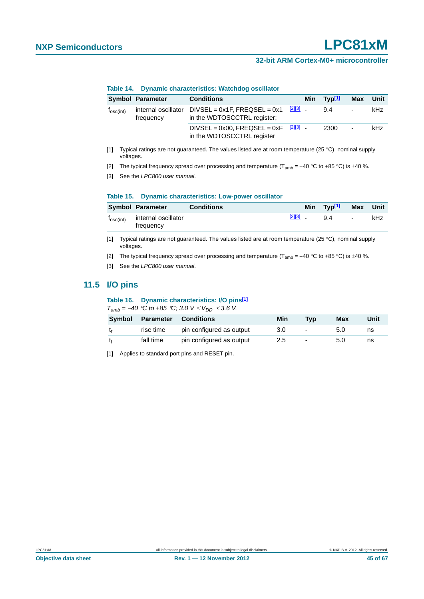#### **32-bit ARM Cortex-M0+ microcontroller**

|                       | <b>Symbol Parameter</b>          | <b>Conditions</b>                                                                      |              | Min Typ <sup>[1]</sup> | Max                      | Unit |
|-----------------------|----------------------------------|----------------------------------------------------------------------------------------|--------------|------------------------|--------------------------|------|
| T <sub>osc(int)</sub> | internal oscillator<br>frequency | $DIVSEL = 0x1F$ , $FREQSEL = 0x1$<br>in the WDTOSCCTRL register:                       | $[2][3]$ $-$ | 94                     | $\overline{\phantom{a}}$ | kHz  |
|                       |                                  | DIVSEL = $0x00$ , FREQSEL = $0xF$ $\frac{[2][3]}{[2]}$ -<br>in the WDTOSCCTRL register |              | 2300                   | $\blacksquare$           | kHz  |

#### **Table 14. Dynamic characteristics: Watchdog oscillator**

<span id="page-44-0"></span>[1] Typical ratings are not guaranteed. The values listed are at room temperature (25  $\degree$ C), nominal supply voltages.

<span id="page-44-1"></span>[2] The typical frequency spread over processing and temperature (T<sub>amb</sub> = -40 °C to +85 °C) is  $\pm$ 40 %.

<span id="page-44-2"></span>[3] See the *LPC800 user manual*.

#### **Table 15. Dynamic characteristics: Low-power oscillator**

| <b>Symbol Parameter</b>                                | Conditions |  | Min Typ <sup>[1]</sup> Max Unit |     |
|--------------------------------------------------------|------------|--|---------------------------------|-----|
| $f_{\text{osc(int)}}$ internal oscillator<br>frequency |            |  | $[2][3]$ g 4 -                  | kHz |

[1] Typical ratings are not guaranteed. The values listed are at room temperature (25 °C), nominal supply voltages.

- [2] The typical frequency spread over processing and temperature (T<sub>amb</sub> = -40 °C to +85 °C) is  $\pm$ 40 %.
- [3] See the *LPC800 user manual*.

#### <span id="page-44-4"></span>**11.5 I/O pins**

#### **Table 16. Dynamic characteristics: I/O pins[\[1\]](#page-44-3)**

 $T_{amb} = -40$  <sup>o</sup>C to +85 <sup>o</sup>C; 3.0  $V \leq V_{DD} \leq 3.6$  V.

| <b>Symbol</b> |           | <b>Parameter Conditions</b> | Min | Tvp                      | Max | Unit |
|---------------|-----------|-----------------------------|-----|--------------------------|-----|------|
|               | rise time | pin configured as output    | 3.0 | $\overline{\phantom{0}}$ | 5.0 | ns   |
|               | fall time | pin configured as output    | 2.5 | $\overline{\phantom{0}}$ | 5.0 | ns   |

<span id="page-44-3"></span>[1] Applies to standard port pins and RESET pin.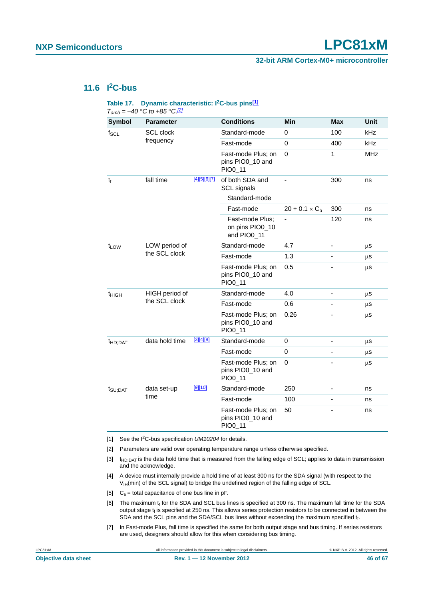**32-bit ARM Cortex-M0+ microcontroller**

### <span id="page-45-7"></span>**11.6 I2C-bus**

#### Table 17. Dynamic characteristic: I<sup>2</sup>C-bus pins<sup>[\[1\]](#page-45-0)</sup> *Tamb = 40 C to +85 C[.\[2\]](#page-45-1)*

|                                             | $I_{amb} = -40$ °C to +65 °C.L |               |                                                   |                          |                          |             |
|---------------------------------------------|--------------------------------|---------------|---------------------------------------------------|--------------------------|--------------------------|-------------|
| <b>Symbol</b>                               | <b>Parameter</b>               |               | <b>Conditions</b>                                 | <b>Min</b>               | Max                      | <b>Unit</b> |
| $f_{\mathsf{SCL}}$                          | SCL clock                      |               | Standard-mode                                     | 0                        | 100                      | <b>kHz</b>  |
|                                             | frequency                      |               | Fast-mode                                         | 0                        | 400                      | kHz         |
|                                             |                                |               | Fast-mode Plus; on<br>pins PIO0_10 and<br>PIO0_11 | $\mathbf 0$              | $\mathbf{1}$             | <b>MHz</b>  |
| $t_f$                                       | fall time                      | [4][5][6][7]  | of both SDA and<br>SCL signals<br>Standard-mode   |                          | 300                      | ns          |
|                                             |                                |               | Fast-mode                                         | $20 + 0.1 \times C_{b}$  | 300                      | ns          |
|                                             |                                |               | Fast-mode Plus;<br>on pins PIO0_10<br>and PIO0_11 | $\overline{\phantom{a}}$ | 120                      | ns          |
| LOW period of<br>$t_{LOW}$<br>the SCL clock |                                | Standard-mode | 4.7                                               |                          | μS                       |             |
|                                             |                                |               | Fast-mode                                         | 1.3                      |                          | μS          |
|                                             |                                |               | Fast-mode Plus; on<br>pins PIO0_10 and<br>PIO0_11 | 0.5                      |                          | μS          |
| t <sub>HIGH</sub>                           | HIGH period of                 |               | Standard-mode                                     | 4.0                      | $\overline{\phantom{0}}$ | μS          |
|                                             | the SCL clock                  |               | Fast-mode                                         | 0.6                      |                          | μS          |
|                                             |                                |               | Fast-mode Plus; on<br>pins PIO0_10 and<br>PIO0_11 | 0.26                     |                          | μS          |
| t <sub>HD;DAT</sub>                         | data hold time                 | $[3][4][8]$   | Standard-mode                                     | 0                        |                          | $\mu$ s     |
|                                             |                                |               | Fast-mode                                         | $\mathbf 0$              |                          | $\mu$ S     |
|                                             |                                |               | Fast-mode Plus; on<br>pins PIO0_10 and<br>PIO0_11 | $\Omega$                 |                          | μS          |
| $t_{\text{SU;DAT}}$                         | data set-up                    | [9][10]       | Standard-mode                                     | 250                      |                          | ns          |
|                                             | time                           |               | Fast-mode                                         | 100                      |                          | ns          |
|                                             |                                |               | Fast-mode Plus; on<br>pins PIO0_10 and<br>PIO0_11 | 50                       |                          | ns          |

<span id="page-45-0"></span>[1] See the I2C-bus specification *UM10204* for details.

<span id="page-45-1"></span>[2] Parameters are valid over operating temperature range unless otherwise specified.

<span id="page-45-6"></span>[3]  $t_{HD:DAT}$  is the data hold time that is measured from the falling edge of SCL; applies to data in transmission and the acknowledge.

<span id="page-45-2"></span>[4] A device must internally provide a hold time of at least 300 ns for the SDA signal (with respect to the  $V<sub>IH</sub>(min)$  of the SCL signal) to bridge the undefined region of the falling edge of SCL.

<span id="page-45-3"></span>[5]  $C_b =$  total capacitance of one bus line in pF.

<span id="page-45-4"></span>[6] The maximum  $t_f$  for the SDA and SCL bus lines is specified at 300 ns. The maximum fall time for the SDA output stage  $t_f$  is specified at 250 ns. This allows series protection resistors to be connected in between the SDA and the SCL pins and the SDA/SCL bus lines without exceeding the maximum specified tt.

<span id="page-45-5"></span>[7] In Fast-mode Plus, fall time is specified the same for both output stage and bus timing. If series resistors are used, designers should allow for this when considering bus timing.

LPC81xM All information provided in this document is subject to legal disclaimers. © NXP B.V. 2012. All rights reserved.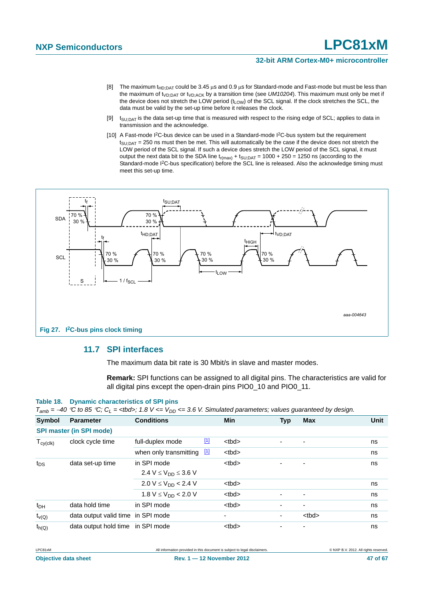#### **32-bit ARM Cortex-M0+ microcontroller**

- <span id="page-46-0"></span>[8] The maximum t<sub>HD:DAT</sub> could be 3.45  $\mu$ s and 0.9  $\mu$ s for Standard-mode and Fast-mode but must be less than the maximum of t<sub>VD;DAT</sub> or t<sub>VD;ACK</sub> by a transition time (see *UM10204*). This maximum must only be met if the device does not stretch the LOW period (t<sub>LOW</sub>) of the SCL signal. If the clock stretches the SCL, the data must be valid by the set-up time before it releases the clock.
- <span id="page-46-1"></span>[9]  $t_{\text{SU-DAT}}$  is the data set-up time that is measured with respect to the rising edge of SCL; applies to data in transmission and the acknowledge.
- <span id="page-46-2"></span>[10] A Fast-mode I<sup>2</sup>C-bus device can be used in a Standard-mode I<sup>2</sup>C-bus system but the requirement  $t<sub>SU;DAT</sub> = 250$  ns must then be met. This will automatically be the case if the device does not stretch the LOW period of the SCL signal. If such a device does stretch the LOW period of the SCL signal, it must output the next data bit to the SDA line  $t_{r(max)} + t_{SU;DAT} = 1000 + 250 = 1250$  ns (according to the Standard-mode I<sup>2</sup>C-bus specification) before the SCL line is released. Also the acknowledge timing must meet this set-up time.



#### <span id="page-46-3"></span>**11.7 SPI interfaces**

The maximum data bit rate is 30 Mbit/s in slave and master modes.

**Remark:** SPI functions can be assigned to all digital pins. The characteristics are valid for all digital pins except the open-drain pins PIO0 10 and PIO0 11.

#### **Table 18. Dynamic characteristics of SPI pins**

|  | $T_{amb}$ = –40 °C to 85 °C; C <sub>L</sub> = <tbd>; 1.8 V &lt;= V<sub>DD</sub> &lt;= 3.6 V. Simulated parameters; values guaranteed by design.</tbd> |
|--|-------------------------------------------------------------------------------------------------------------------------------------------------------|
|--|-------------------------------------------------------------------------------------------------------------------------------------------------------|

| Symbol          | <b>Parameter</b>                   | <b>Conditions</b>            |             | <b>Min</b>        | <b>Typ</b>               | <b>Max</b>        | Unit |
|-----------------|------------------------------------|------------------------------|-------------|-------------------|--------------------------|-------------------|------|
|                 | <b>SPI master (in SPI mode)</b>    |                              |             |                   |                          |                   |      |
| $T_{cy(clk)}$   | clock cycle time                   | full-duplex mode             | $\boxed{1}$ | <tbd></tbd>       |                          |                   | ns   |
|                 |                                    | when only transmitting       | $\boxed{1}$ | <tbd></tbd>       |                          |                   | ns   |
| t <sub>DS</sub> | data set-up time                   | in SPI mode                  |             | <tbd></tbd>       |                          |                   | ns   |
|                 |                                    | 2.4 $V \le V_{DD} \le 3.6 V$ |             |                   |                          |                   |      |
|                 |                                    | $2.0 V \le V_{DD} < 2.4 V$   |             | <br><sub>th</sub> |                          |                   | ns   |
|                 |                                    | $1.8 V \leq V_{DD}$ < 2.0 V  |             | <br><sub>th</sub> |                          |                   | ns   |
| $t_{DH}$        | data hold time                     | in SPI mode                  |             | <tbd></tbd>       | $\overline{\phantom{0}}$ | ۰                 | ns   |
| $t_{V(Q)}$      | data output valid time in SPI mode |                              |             | ۰                 | ٠                        | <br><sub>th</sub> | ns   |
| $t_{h(Q)}$      | data output hold time in SPI mode  |                              |             | <br><sub>th</sub> |                          |                   | ns   |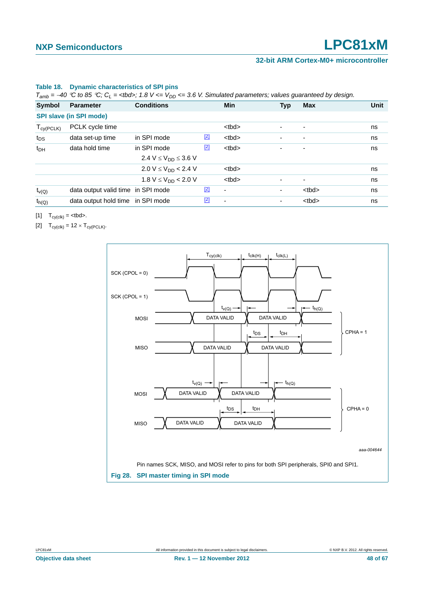#### **32-bit ARM Cortex-M0+ microcontroller**

#### **Table 18. Dynamic characteristics of SPI pins**

 $T_{amb} = -40 \degree \circ$  to 85 °C;  $C_L$  = <tbd>; 1.8 V <=  $V_{DD}$  <= 3.6 V. Simulated parameters; values guaranteed by design.

| Symbol          | <b>Parameter</b>                   | <b>Conditions</b>                         |       | Min               | <b>Typ</b> | <b>Max</b>               | <b>Unit</b> |
|-----------------|------------------------------------|-------------------------------------------|-------|-------------------|------------|--------------------------|-------------|
|                 | <b>SPI slave (in SPI mode)</b>     |                                           |       |                   |            |                          |             |
| $T_{cy(PCLK)}$  | PCLK cycle time                    |                                           |       | <br><sub>th</sub> |            |                          | ns          |
| t <sub>DS</sub> | data set-up time                   | in SPI mode                               | $[2]$ | <br><sub>th</sub> |            | ٠                        | ns          |
| $t_{DH}$        | data hold time                     | in SPI mode                               | $[2]$ | <br><sub>th</sub> |            | -                        | ns          |
|                 |                                    | 2.4 V $\leq$ V <sub>DD</sub> $\leq$ 3.6 V |       |                   |            |                          |             |
|                 |                                    | $2.0 V \leq V_{DD} < 2.4 V$               |       | <br><sub>th</sub> |            |                          | ns          |
|                 |                                    | 1.8 $V \leq V_{DD}$ < 2.0 V               |       | <br><sub>th</sub> | ٠          | $\overline{\phantom{a}}$ | ns          |
| $t_{V(Q)}$      | data output valid time in SPI mode |                                           | $[2]$ | $\blacksquare$    | -          | <tbd></tbd>              | ns          |
| $t_{h(Q)}$      | data output hold time in SPI mode  |                                           | $[2]$ | ٠                 | ٠          | <tbd></tbd>              | ns          |
|                 |                                    |                                           |       |                   |            |                          |             |

<span id="page-47-0"></span>[1]  $T_{cy(clk)} = .$ 

<span id="page-47-1"></span>[2]  $T_{\text{cy}(\text{clk})} = 12 \times T_{\text{cy}(\text{PCLK})}$ .

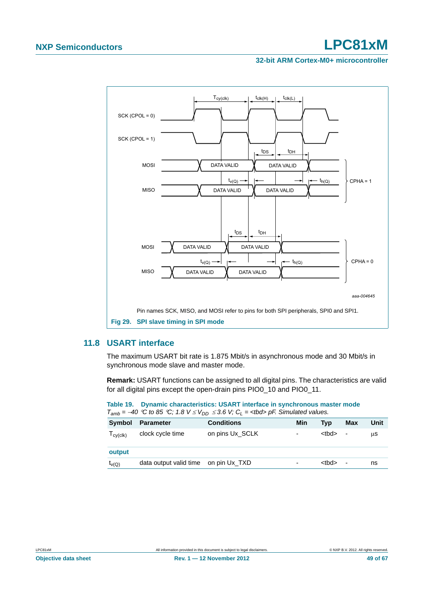#### **32-bit ARM Cortex-M0+ microcontroller**



#### <span id="page-48-0"></span>**11.8 USART interface**

The maximum USART bit rate is 1.875 Mbit/s in asynchronous mode and 30 Mbit/s in synchronous mode slave and master mode.

**Remark:** USART functions can be assigned to all digital pins. The characteristics are valid for all digital pins except the open-drain pins PIO0\_10 and PIO0\_11.

**Table 19. Dynamic characteristics: USART interface in synchronous master mode**  $T_{amb} = -40$  °C to 85 °C; 1.8 V  $\leq$  V<sub>DD</sub>  $\leq$  3.6 V; C<sub>L</sub> = <tbd> pF. Simulated values.

| Symbol                                   | <b>Parameter</b>       | <b>Conditions</b> | Min            | Tvp         | Max                      | Unit |
|------------------------------------------|------------------------|-------------------|----------------|-------------|--------------------------|------|
| $\mathsf{I}_{\mathsf{CV}(\mathsf{clk})}$ | clock cycle time       | on pins Ux SCLK   | $\overline{a}$ | <tbd></tbd> | $\overline{\phantom{0}}$ | μS   |
| output                                   |                        |                   |                |             |                          |      |
| $t_{V(Q)}$                               | data output valid time | on pin Ux TXD     | $\overline{a}$ | <tbd></tbd> | $\overline{\phantom{a}}$ | ns   |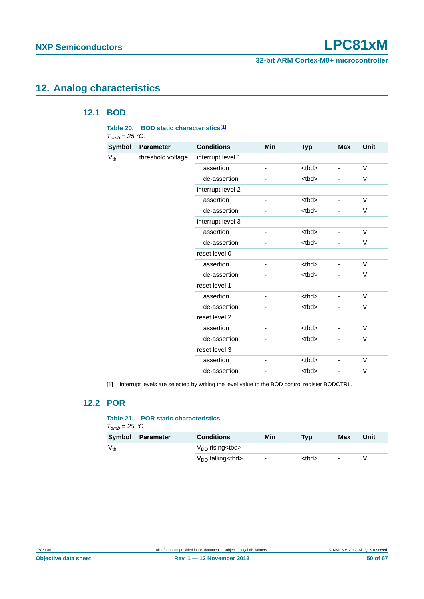**32-bit ARM Cortex-M0+ microcontroller**

## <span id="page-49-2"></span><span id="page-49-1"></span>**12. Analog characteristics**

### **12.1 BOD**

| Table 20.<br>$T_{amb} = 25 \degree C$ . |                   | <b>BOD static characteristics[1]</b> |     |                       |            |        |
|-----------------------------------------|-------------------|--------------------------------------|-----|-----------------------|------------|--------|
| <b>Symbol</b>                           | <b>Parameter</b>  | <b>Conditions</b>                    | Min | <b>Typ</b>            | <b>Max</b> | Unit   |
| $V_{th}$                                | threshold voltage | interrupt level 1                    |     |                       |            |        |
|                                         |                   | assertion                            | L   | <tbd></tbd>           | -          | $\vee$ |
|                                         |                   | de-assertion                         |     | <tbd></tbd>           | ۰          | V      |
|                                         |                   | interrupt level 2                    |     |                       |            |        |
|                                         |                   | assertion                            | ÷,  | <br><sub>th</sub>     | ÷,         | V      |
|                                         |                   | de-assertion                         |     | <tbd></tbd>           |            | V      |
|                                         |                   | interrupt level 3                    |     |                       |            |        |
|                                         |                   | assertion                            |     | <tbd></tbd>           | ٠          | V      |
|                                         |                   | de-assertion                         |     | <tbd></tbd>           |            | V      |
|                                         |                   | reset level 0                        |     |                       |            |        |
|                                         |                   | assertion                            |     | <tbd></tbd>           |            | V      |
|                                         |                   | de-assertion                         |     | <br><sub>th</sub>     | ÷,         | V      |
|                                         |                   | reset level 1                        |     |                       |            |        |
|                                         |                   | assertion                            |     | <tbd></tbd>           | ÷,         | $\vee$ |
|                                         |                   | de-assertion                         |     | <tbd></tbd>           | -          | V      |
|                                         |                   | reset level 2                        |     |                       |            |        |
|                                         |                   | assertion                            | -   | <br><sub>td&gt;</sub> | ٠          | V      |
|                                         |                   | de-assertion                         |     | <tbd></tbd>           |            | V      |
|                                         |                   | reset level 3                        |     |                       |            |        |
|                                         |                   | assertion                            | -   | <tbd></tbd>           |            | $\vee$ |
|                                         |                   | de-assertion                         |     | <tbd></tbd>           |            | V      |

<span id="page-49-0"></span>[1] Interrupt levels are selected by writing the level value to the BOD control register BODCTRL.

### <span id="page-49-3"></span>**12.2 POR**

#### **Table 21. POR static characteristics**

| $T_{amb}$ = 25 °C. |           |                           |                          |             |     |      |  |
|--------------------|-----------|---------------------------|--------------------------|-------------|-----|------|--|
| <b>Symbol</b>      | Parameter | <b>Conditions</b>         | Min                      | Tvp         | Max | Unit |  |
| $V_{th}$           |           | $V_{DD}$ rising $<$ tbd > |                          |             |     |      |  |
|                    |           | $V_{DD}$ falling < tbd >  | $\overline{\phantom{0}}$ | <tbd></tbd> | ٠   |      |  |

**Objective data sheet Rev. 1 — 12 November 2012** 50 **167** 50 of 67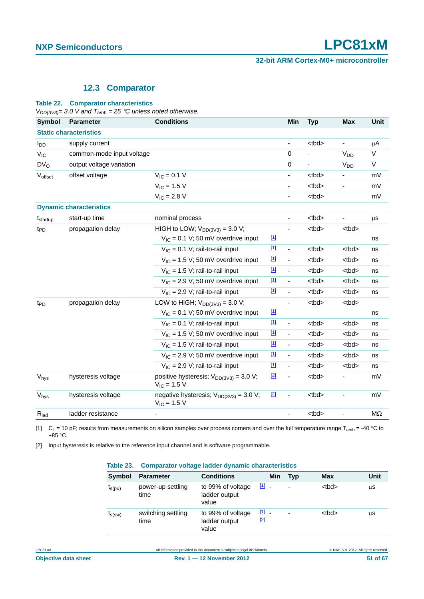#### **12.3 Comparator**

#### <span id="page-50-1"></span>**Table 22. Comparator characteristics**

*VDD(3V3)= 3.0 V and Tamb = 25 C unless noted otherwise.*

| <b>Symbol</b>        | <b>Parameter</b>               | <b>Conditions</b>                                                      |             | Min                      | <b>Typ</b>            | <b>Max</b>               | Unit      |
|----------------------|--------------------------------|------------------------------------------------------------------------|-------------|--------------------------|-----------------------|--------------------------|-----------|
|                      | <b>Static characteristics</b>  |                                                                        |             |                          |                       |                          |           |
| $I_{DD}$             | supply current                 |                                                                        |             | ÷,                       | <br><sub>td&gt;</sub> | $\overline{\phantom{a}}$ | $\mu$ A   |
| $V_{IC}$             | common-mode input voltage      |                                                                        |             | $\pmb{0}$                |                       | V <sub>DD</sub>          | V         |
| $DV_0$               | output voltage variation       |                                                                        |             | $\mathsf 0$              |                       | V <sub>DD</sub>          | $\vee$    |
| Voffset              | offset voltage                 | $V_{IC} = 0.1 V$                                                       |             | $\overline{\phantom{a}}$ | <tbd></tbd>           | $\blacksquare$           | mV        |
|                      |                                | $V_{IC} = 1.5 V$                                                       |             | $\frac{1}{2}$            | <br><sub>th</sub>     | $\overline{\phantom{a}}$ | mV        |
|                      |                                | $V_{IC} = 2.8 V$                                                       |             |                          | <tbd></tbd>           |                          | mV        |
|                      | <b>Dynamic characteristics</b> |                                                                        |             |                          |                       |                          |           |
| t <sub>startup</sub> | start-up time                  | nominal process                                                        |             |                          | <br><sub>th</sub>     |                          | $\mu$ s   |
| t <sub>PD</sub>      | propagation delay              | HIGH to LOW; $V_{DD(3V3)} = 3.0 V$ ;                                   |             |                          | <tbd></tbd>           | <tbd></tbd>              |           |
|                      |                                | $V_{IC}$ = 0.1 V; 50 mV overdrive input                                | $\boxed{1}$ |                          |                       |                          | ns        |
|                      |                                | $V_{IC}$ = 0.1 V; rail-to-rail input                                   | $[1]$       | $\frac{1}{2}$            | <tbd></tbd>           | <tbd></tbd>              | ns        |
|                      |                                | $V_{IC}$ = 1.5 V; 50 mV overdrive input                                | $[1]$       | $\frac{1}{2}$            | <tbd></tbd>           | <tbd></tbd>              | ns        |
|                      |                                | $V_{IC}$ = 1.5 V; rail-to-rail input                                   | $\boxed{1}$ | $\overline{\phantom{a}}$ | <tbd></tbd>           | <tbd></tbd>              | ns        |
|                      |                                | $V_{IC}$ = 2.9 V; 50 mV overdrive input                                | $[1]$       | $\overline{a}$           | <tbd></tbd>           | <tbd></tbd>              | ns        |
|                      |                                | $V_{IC}$ = 2.9 V; rail-to-rail input                                   | $[1]$       | $\overline{\phantom{a}}$ | <br><sub>th</sub>     | <tbd></tbd>              | ns        |
| t <sub>PD</sub>      | propagation delay              | LOW to HIGH; $V_{DD(3\sqrt{3})}$ = 3.0 V;                              |             |                          | <tbd></tbd>           | <tbd></tbd>              |           |
|                      |                                | $V_{IC} = 0.1 V$ ; 50 mV overdrive input                               | $[1]$       |                          |                       |                          | ns        |
|                      |                                | $V_{IC}$ = 0.1 V; rail-to-rail input                                   | $[1]$       | $\overline{a}$           | <tbd></tbd>           | <tbd></tbd>              | ns        |
|                      |                                | $V_{IC}$ = 1.5 V; 50 mV overdrive input                                | $[1]$       | 4                        | <tbd></tbd>           | <tbd></tbd>              | ns        |
|                      |                                | $V_{IC}$ = 1.5 V; rail-to-rail input                                   | $[1]$       | $\overline{a}$           | <tbd></tbd>           | <tbd></tbd>              | ns        |
|                      |                                | $V_{IC}$ = 2.9 V; 50 mV overdrive input                                | $[1]$       | $\overline{a}$           | <tbd></tbd>           | <tbd></tbd>              | ns        |
|                      |                                | $V_{IC}$ = 2.9 V; rail-to-rail input                                   | $[1]$       | 4                        | <tbd></tbd>           | <tbd></tbd>              | ns        |
| V <sub>hys</sub>     | hysteresis voltage             | positive hysteresis; $V_{DD(3\sqrt{3})} = 3.0 V$ ;<br>$V_{IC} = 1.5 V$ | $[2]$       |                          | <tbd></tbd>           |                          | mV        |
| V <sub>hys</sub>     | hysteresis voltage             | negative hysteresis; $V_{DD(3\sqrt{3})} = 3.0 V$ ;<br>$V_{IC} = 1.5 V$ | $[2]$       | $\overline{a}$           | <tbd></tbd>           | ä,                       | mV        |
| $R_{lad}$            | ladder resistance              |                                                                        |             |                          | <tbd></tbd>           |                          | $M\Omega$ |
|                      |                                |                                                                        |             |                          |                       |                          |           |

[1]  $C_L = 10$  pF; results from measurements on silicon samples over process corners and over the full temperature range T<sub>amb</sub> = -40 °C to  $+85$  °C.

[2] Input hysteresis is relative to the reference input channel and is software programmable.

#### <span id="page-50-0"></span>**Table 23. Comparator voltage ladder dynamic characteristics**

| Symbol                                     | <b>Parameter</b>           | <b>Conditions</b>                           | Min                  | Tvp            | <b>Max</b>        | <b>Unit</b> |
|--------------------------------------------|----------------------------|---------------------------------------------|----------------------|----------------|-------------------|-------------|
| $t_{S(pu)}$                                | power-up settling<br>time  | to 99% of voltage<br>ladder output<br>value | $[1]$ .              | $\overline{a}$ | <br><sub>th</sub> | μS          |
| $\boldsymbol{\mathfrak{t}}_{\text{S(SW)}}$ | switching settling<br>time | to 99% of voltage<br>ladder output<br>value | $\boxed{1}$ .<br>[2] | ٠              | <tbd></tbd>       | μS          |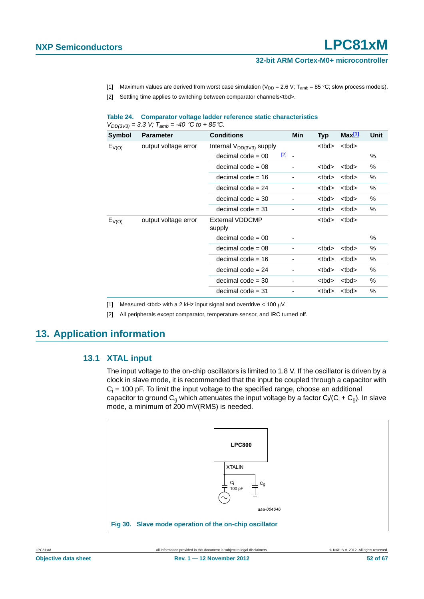#### **32-bit ARM Cortex-M0+ microcontroller**

- [1] Maximum values are derived from worst case simulation ( $V_{DD} = 2.6 V$ ;  $T_{amb} = 85 °C$ ; slow process models).
- [2] Settling time applies to switching between comparator channels<tbd>.

#### **Table 24. Comparator voltage ladder reference static characteristics**   $V_{DD(3V3)} = 3.3$  *V;*  $T_{amb} = -40$  <sup>°</sup>C to + 85<sup>°</sup>C.

| <b>Symbol</b> | <b>Parameter</b>     | <b>Conditions</b>                |             | Min            | <b>Typ</b>  | Max[1]      | Unit |
|---------------|----------------------|----------------------------------|-------------|----------------|-------------|-------------|------|
| $E_{V(O)}$    | output voltage error | Internal $V_{DD(3V3)}$ supply    |             |                | <tbd></tbd> | <tbd></tbd> |      |
|               |                      | $decimal code = 00$              | $\boxed{2}$ | $\blacksquare$ |             |             | %    |
|               |                      | $decimal code = 08$              |             | -              | <tbd></tbd> | <tbd></tbd> | %    |
|               |                      | decimal code $= 16$              |             | -              | <tbd></tbd> | <tbd></tbd> | %    |
|               |                      | $decimal code = 24$              |             |                | <tbd></tbd> | <tbd></tbd> | %    |
|               |                      | $decimal code = 30$              |             | -              | <tbd></tbd> | <tbd></tbd> | %    |
|               |                      | $decimal code = 31$              |             | -              | <tbd></tbd> | <tbd></tbd> | %    |
| $E_{V(O)}$    | output voltage error | <b>External VDDCMP</b><br>supply |             |                | <tbd></tbd> | <tbd></tbd> |      |
|               |                      | $decimal code = 00$              |             | -              |             |             | %    |
|               |                      | $decimal code = 08$              |             | ٠              | <tbd></tbd> | <tbd></tbd> | $\%$ |
|               |                      | decimal code $= 16$              |             |                | <tbd></tbd> | <tbd></tbd> | %    |
|               |                      | $decimal code = 24$              |             | -              | <tbd></tbd> | <tbd></tbd> | %    |
|               |                      | $decimal code = 30$              |             | -              | <tbd></tbd> | <tbd></tbd> | %    |
|               |                      | $decimal code = 31$              |             |                | <tbd></tbd> | <tbd></tbd> | %    |

[1] Measured <tbd> with a 2 kHz input signal and overdrive <  $100 \mu V$ .

<span id="page-51-1"></span>[2] All peripherals except comparator, temperature sensor, and IRC turned off.

### <span id="page-51-3"></span><span id="page-51-0"></span>**13. Application information**

#### **13.1 XTAL input**

The input voltage to the on-chip oscillators is limited to 1.8 V. If the oscillator is driven by a clock in slave mode, it is recommended that the input be coupled through a capacitor with  $C_i$  = 100 pF. To limit the input voltage to the specified range, choose an additional capacitor to ground C<sub>g</sub> which attenuates the input voltage by a factor  $C_1/C_1 + C_9$ ). In slave mode, a minimum of 200 mV(RMS) is needed.

<span id="page-51-2"></span>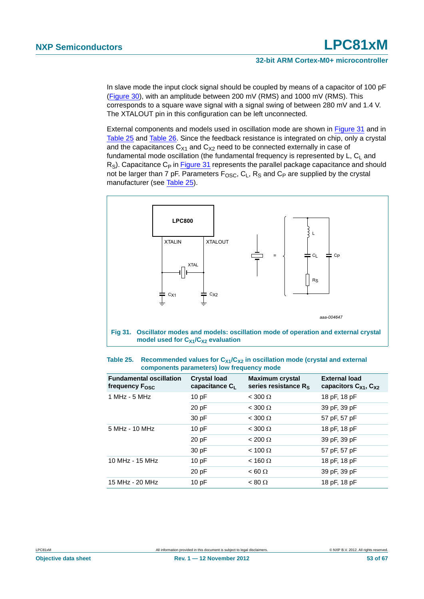In slave mode the input clock signal should be coupled by means of a capacitor of 100 pF [\(Figure 30\)](#page-51-2), with an amplitude between 200 mV (RMS) and 1000 mV (RMS). This corresponds to a square wave signal with a signal swing of between 280 mV and 1.4 V. The XTALOUT pin in this configuration can be left unconnected.

External components and models used in oscillation mode are shown in [Figure 31](#page-52-0) and in [Table 25](#page-52-1) and [Table 26.](#page-53-0) Since the feedback resistance is integrated on chip, only a crystal and the capacitances  $C_{X1}$  and  $C_{X2}$  need to be connected externally in case of fundamental mode oscillation (the fundamental frequency is represented by  $L, C<sub>1</sub>$  and  $R<sub>S</sub>$ ). Capacitance C<sub>P</sub> in [Figure 31](#page-52-0) represents the parallel package capacitance and should not be larger than 7 pF. Parameters  $F_{\text{OSC}}$ ,  $C_L$ ,  $R_S$  and  $C_P$  are supplied by the crystal manufacturer (see [Table 25\)](#page-52-1).



<span id="page-52-1"></span><span id="page-52-0"></span>

| Table 25. Recommended values for $C_{X1}/C_{X2}$ in oscillation mode (crystal and external |
|--------------------------------------------------------------------------------------------|
| components parameters) low frequency mode                                                  |

| <b>Fundamental oscillation</b><br>frequency $F_{\text{OSC}}$ | <b>Crystal load</b><br>capacitance $C_{L}$ | <b>Maximum crystal</b><br>series resistance $R_S$ | <b>External load</b><br>capacitors $C_{X1}$ , $C_{X2}$ |
|--------------------------------------------------------------|--------------------------------------------|---------------------------------------------------|--------------------------------------------------------|
| 1 MHz - 5 MHz                                                | 10pF                                       | $<$ 300 $\Omega$                                  | 18 pF, 18 pF                                           |
|                                                              | 20 pF                                      | $<$ 300 $\Omega$                                  | 39 pF, 39 pF                                           |
|                                                              | 30 pF                                      | $< 300 \Omega$                                    | 57 pF, 57 pF                                           |
| 5 MHz - 10 MHz                                               | 10pF                                       | $<$ 300 $\Omega$                                  | 18 pF, 18 pF                                           |
|                                                              | 20 pF                                      | $< 200 \Omega$                                    | 39 pF, 39 pF                                           |
|                                                              | 30 pF                                      | $< 100 \Omega$                                    | 57 pF, 57 pF                                           |
| 10 MHz - 15 MHz                                              | 10pF                                       | $<$ 160 $\Omega$                                  | 18 pF, 18 pF                                           |
|                                                              | 20 pF                                      | $< 60 \Omega$                                     | 39 pF, 39 pF                                           |
| 15 MHz - 20 MHz                                              | 10pF                                       | $< 80 \Omega$                                     | 18 pF, 18 pF                                           |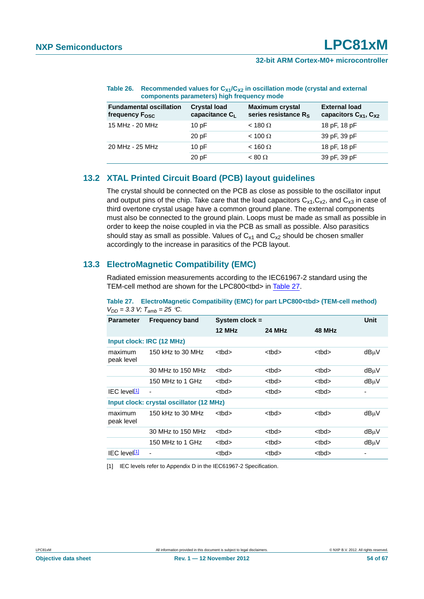|                                                              | components parameters) ingli irequency mode       |                                                   |                                                        |  |  |  |  |  |
|--------------------------------------------------------------|---------------------------------------------------|---------------------------------------------------|--------------------------------------------------------|--|--|--|--|--|
| <b>Fundamental oscillation</b><br>frequency F <sub>osc</sub> | <b>Crystal load</b><br>capacitance C <sub>L</sub> | <b>Maximum crystal</b><br>series resistance $R_S$ | <b>External load</b><br>capacitors $C_{X1}$ , $C_{X2}$ |  |  |  |  |  |
| 15 MHz - 20 MHz                                              | 10pF                                              | $<$ 180 $\Omega$                                  | 18 pF, 18 pF                                           |  |  |  |  |  |
|                                                              | 20pF                                              | $< 100 \Omega$                                    | 39 pF, 39 pF                                           |  |  |  |  |  |
| 20 MHz - 25 MHz                                              | 10pF                                              | $<$ 160 $\Omega$                                  | 18 pF, 18 pF                                           |  |  |  |  |  |
|                                                              | 20 pF                                             | $< 80 \Omega$                                     | 39 pF, 39 pF                                           |  |  |  |  |  |

#### <span id="page-53-0"></span>Table 26. Recommended values for C<sub>X1</sub>/C<sub>X2</sub> in oscillation mode (crystal and external **components parameters) high frequency mode**

### <span id="page-53-3"></span>**13.2 XTAL Printed Circuit Board (PCB) layout guidelines**

The crystal should be connected on the PCB as close as possible to the oscillator input and output pins of the chip. Take care that the load capacitors  $C_{x1}, C_{x2}$ , and  $C_{x3}$  in case of third overtone crystal usage have a common ground plane. The external components must also be connected to the ground plain. Loops must be made as small as possible in order to keep the noise coupled in via the PCB as small as possible. Also parasitics should stay as small as possible. Values of  $C_{x1}$  and  $C_{x2}$  should be chosen smaller accordingly to the increase in parasitics of the PCB layout.

### <span id="page-53-4"></span>**13.3 ElectroMagnetic Compatibility (EMC)**

Radiated emission measurements according to the IEC61967-2 standard using the TEM-cell method are shown for the LPC800<tbd> in [Table 27](#page-53-1).

| --                              |                                          |                  |             |             |             |
|---------------------------------|------------------------------------------|------------------|-------------|-------------|-------------|
| <b>Parameter</b>                | <b>Frequency band</b>                    | System $clock =$ |             |             | <b>Unit</b> |
|                                 |                                          | 12 MHz           | 24 MHz      | 48 MHz      |             |
|                                 | Input clock: IRC (12 MHz)                |                  |             |             |             |
| maximum<br>peak level           | 150 kHz to 30 MHz                        | <tbd></tbd>      | <tbd></tbd> | <tbd></tbd> | dBµV        |
|                                 | 30 MHz to 150 MHz                        | <tbd></tbd>      | <tbd></tbd> | <tbd></tbd> | dBuV        |
|                                 | 150 MHz to 1 GHz                         | <tbd></tbd>      | <tbd></tbd> | <tbd></tbd> | dBµV        |
| <b>IEC</b> level <sup>[1]</sup> |                                          | <tbd></tbd>      | <tbd></tbd> | <tbd></tbd> | -           |
|                                 | Input clock: crystal oscillator (12 MHz) |                  |             |             |             |
| maximum<br>peak level           | 150 kHz to 30 MHz                        | <tbd></tbd>      | <tbd></tbd> | <tbd></tbd> | dBµV        |
|                                 | 30 MHz to 150 MHz                        | <tbd></tbd>      | <tbd></tbd> | <tbd></tbd> | dBµV        |
|                                 | 150 MHz to 1 GHz                         | <tbd></tbd>      | <tbd></tbd> | <tbd></tbd> | dBµV        |
| <b>IEC</b> level <sup>[1]</sup> |                                          | <tbd></tbd>      | <tbd></tbd> | <tbd></tbd> |             |

<span id="page-53-1"></span>**Table 27. ElectroMagnetic Compatibility (EMC) for part LPC800<tbd> (TEM-cell method)**  $V_{DD} = 3.3$  *V;*  $T_{amb} = 25$  *°C.* 

<span id="page-53-2"></span>[1] IEC levels refer to Appendix D in the IEC61967-2 Specification.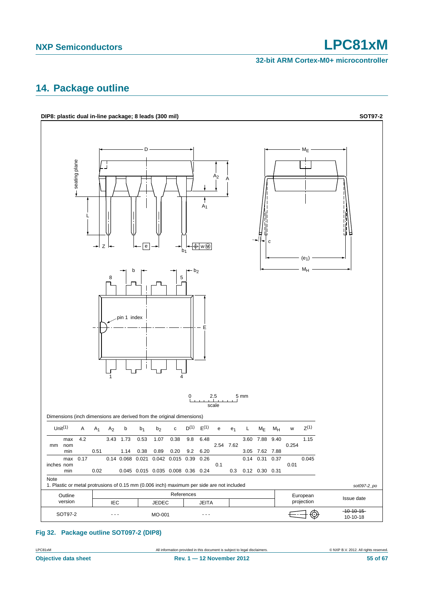**32-bit ARM Cortex-M0+ microcontroller**

### <span id="page-54-0"></span>**14. Package outline**



**Fig 32. Package outline SOT097-2 (DIP8)**

| LPC81xM | All information provided in this document is subject to legal disclaimers. | © NXP B.V. 2012. All rights reserved. |
|---------|----------------------------------------------------------------------------|---------------------------------------|
|         |                                                                            |                                       |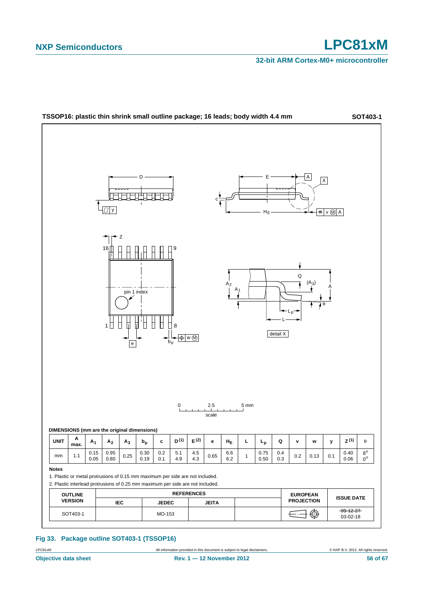**32-bit ARM Cortex-M0+ microcontroller**



#### **Fig 33. Package outline SOT403-1 (TSSOP16)**

LPC81xM **All information provided in this document** is subject to legal disclaimers. 
© NXP B.V. 2012. All rights reserved.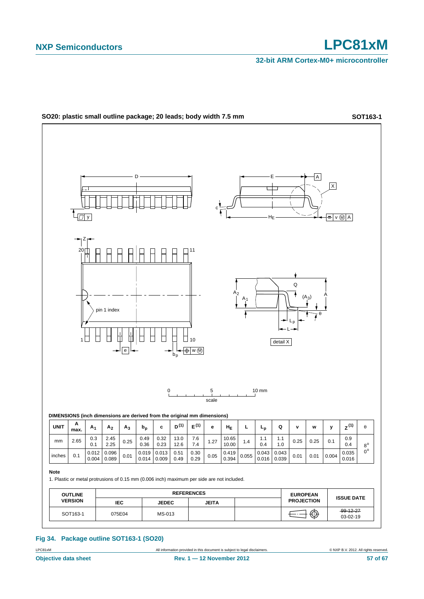**32-bit ARM Cortex-M0+ microcontroller**



**Fig 34. Package outline SOT163-1 (SO20)**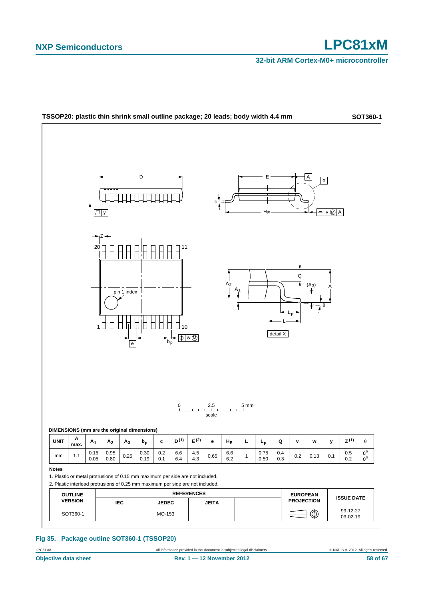**32-bit ARM Cortex-M0+ microcontroller**



**Fig 35. Package outline SOT360-1 (TSSOP20)**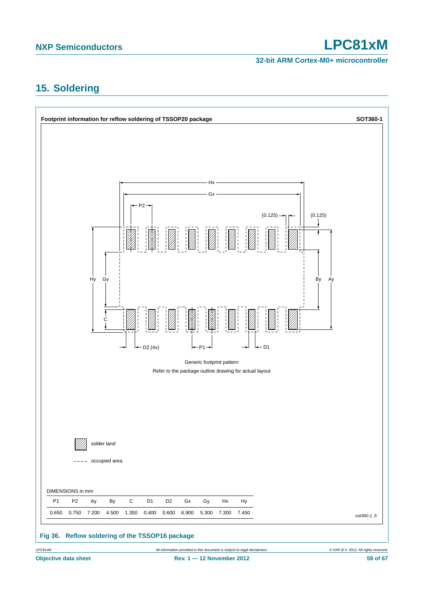**32-bit ARM Cortex-M0+ microcontroller**

## <span id="page-58-0"></span>**15. Soldering**

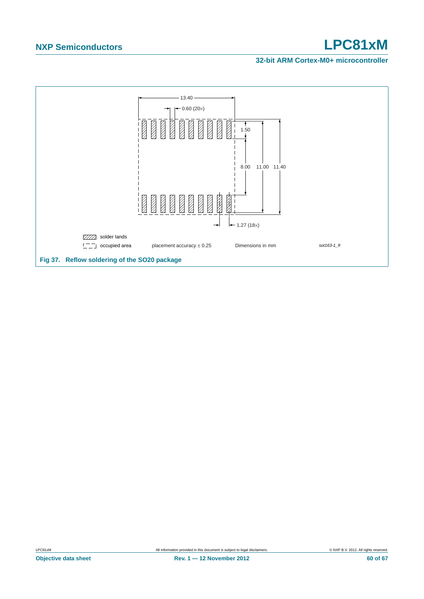#### **32-bit ARM Cortex-M0+ microcontroller**

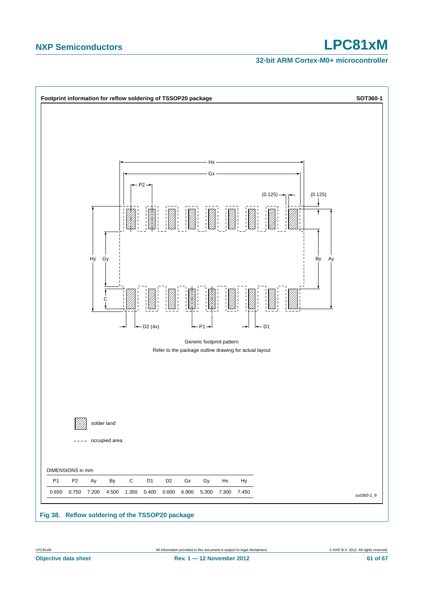#### **32-bit ARM Cortex-M0+ microcontroller**

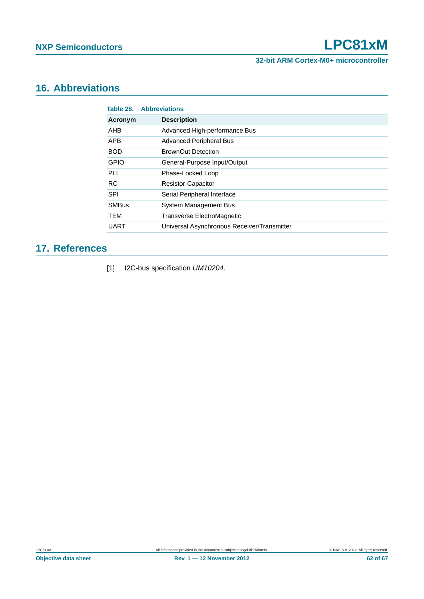**32-bit ARM Cortex-M0+ microcontroller**

## <span id="page-61-1"></span>**16. Abbreviations**

|              | <b>Table 28. Abbreviations</b>              |
|--------------|---------------------------------------------|
| Acronym      | <b>Description</b>                          |
| <b>AHB</b>   | Advanced High-performance Bus               |
| <b>APB</b>   | <b>Advanced Peripheral Bus</b>              |
| <b>BOD</b>   | BrownOut Detection                          |
| <b>GPIO</b>  | General-Purpose Input/Output                |
| <b>PLL</b>   | Phase-Locked Loop                           |
| <b>RC</b>    | <b>Resistor-Capacitor</b>                   |
| <b>SPI</b>   | Serial Peripheral Interface                 |
| <b>SMBus</b> | System Management Bus                       |
| <b>TEM</b>   | Transverse ElectroMagnetic                  |
| <b>UART</b>  | Universal Asynchronous Receiver/Transmitter |

## <span id="page-61-2"></span>**17. References**

<span id="page-61-0"></span>[1] I2C-bus specification *UM10204*.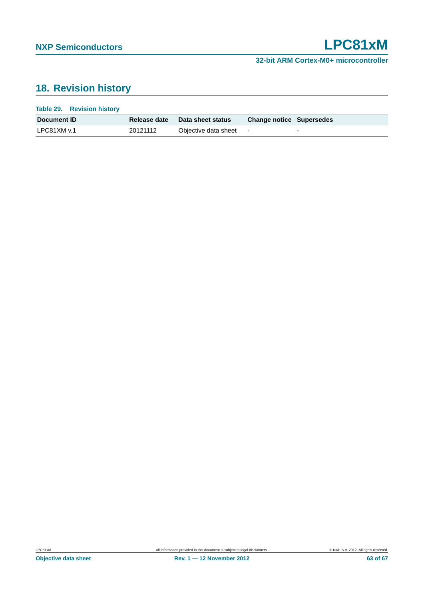## <span id="page-62-0"></span>**18. Revision history**

| Table 29. Revision history |              |                      |                                 |                          |
|----------------------------|--------------|----------------------|---------------------------------|--------------------------|
| Document <b>ID</b>         | Release date | Data sheet status    | <b>Change notice Supersedes</b> |                          |
| LPC81XM v.1                | 20121112     | Objective data sheet |                                 | $\overline{\phantom{0}}$ |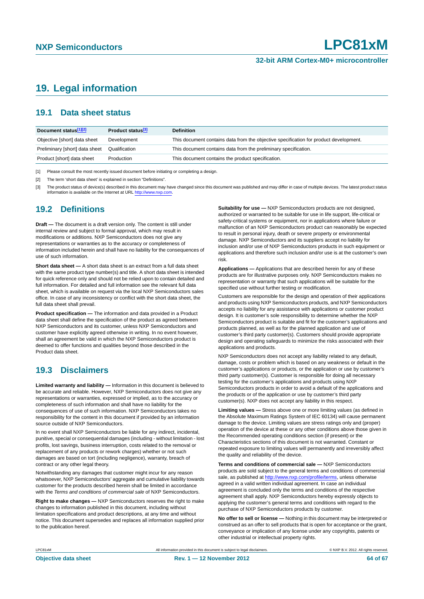### <span id="page-63-0"></span>**19. Legal information**

#### <span id="page-63-1"></span>**19.1 Data sheet status**

| Document status[1][2]          | Product status <sup>[3]</sup> | <b>Definition</b>                                                                     |
|--------------------------------|-------------------------------|---------------------------------------------------------------------------------------|
| Objective [short] data sheet   | Development                   | This document contains data from the objective specification for product development. |
| Preliminary [short] data sheet | Qualification                 | This document contains data from the preliminary specification.                       |
| Product [short] data sheet     | Production                    | This document contains the product specification.                                     |

[1] Please consult the most recently issued document before initiating or completing a design.

[2] The term 'short data sheet' is explained in section "Definitions".

[3] The product status of device(s) described in this document may have changed since this document was published and may differ in case of multiple devices. The latest product status<br>information is available on the Intern

#### <span id="page-63-2"></span>**19.2 Definitions**

**Draft —** The document is a draft version only. The content is still under internal review and subject to formal approval, which may result in modifications or additions. NXP Semiconductors does not give any representations or warranties as to the accuracy or completeness of information included herein and shall have no liability for the consequences of use of such information.

**Short data sheet —** A short data sheet is an extract from a full data sheet with the same product type number(s) and title. A short data sheet is intended for quick reference only and should not be relied upon to contain detailed and full information. For detailed and full information see the relevant full data sheet, which is available on request via the local NXP Semiconductors sales office. In case of any inconsistency or conflict with the short data sheet, the full data sheet shall prevail.

**Product specification —** The information and data provided in a Product data sheet shall define the specification of the product as agreed between NXP Semiconductors and its customer, unless NXP Semiconductors and customer have explicitly agreed otherwise in writing. In no event however, shall an agreement be valid in which the NXP Semiconductors product is deemed to offer functions and qualities beyond those described in the Product data sheet.

### <span id="page-63-3"></span>**19.3 Disclaimers**

**Limited warranty and liability —** Information in this document is believed to be accurate and reliable. However, NXP Semiconductors does not give any representations or warranties, expressed or implied, as to the accuracy or completeness of such information and shall have no liability for the consequences of use of such information. NXP Semiconductors takes no responsibility for the content in this document if provided by an information source outside of NXP Semiconductors.

In no event shall NXP Semiconductors be liable for any indirect, incidental, punitive, special or consequential damages (including - without limitation - lost profits, lost savings, business interruption, costs related to the removal or replacement of any products or rework charges) whether or not such damages are based on tort (including negligence), warranty, breach of contract or any other legal theory.

Notwithstanding any damages that customer might incur for any reason whatsoever, NXP Semiconductors' aggregate and cumulative liability towards customer for the products described herein shall be limited in accordance with the *Terms and conditions of commercial sale* of NXP Semiconductors.

**Right to make changes —** NXP Semiconductors reserves the right to make changes to information published in this document, including without limitation specifications and product descriptions, at any time and without notice. This document supersedes and replaces all information supplied prior to the publication hereof.

**Suitability for use —** NXP Semiconductors products are not designed, authorized or warranted to be suitable for use in life support, life-critical or safety-critical systems or equipment, nor in applications where failure or malfunction of an NXP Semiconductors product can reasonably be expected to result in personal injury, death or severe property or environmental damage. NXP Semiconductors and its suppliers accept no liability for inclusion and/or use of NXP Semiconductors products in such equipment or applications and therefore such inclusion and/or use is at the customer's own risk.

**Applications —** Applications that are described herein for any of these products are for illustrative purposes only. NXP Semiconductors makes no representation or warranty that such applications will be suitable for the specified use without further testing or modification.

Customers are responsible for the design and operation of their applications and products using NXP Semiconductors products, and NXP Semiconductors accepts no liability for any assistance with applications or customer product design. It is customer's sole responsibility to determine whether the NXP Semiconductors product is suitable and fit for the customer's applications and products planned, as well as for the planned application and use of customer's third party customer(s). Customers should provide appropriate design and operating safeguards to minimize the risks associated with their applications and products.

NXP Semiconductors does not accept any liability related to any default, damage, costs or problem which is based on any weakness or default in the customer's applications or products, or the application or use by customer's third party customer(s). Customer is responsible for doing all necessary testing for the customer's applications and products using NXP Semiconductors products in order to avoid a default of the applications and the products or of the application or use by customer's third party customer(s). NXP does not accept any liability in this respect.

**Limiting values —** Stress above one or more limiting values (as defined in the Absolute Maximum Ratings System of IEC 60134) will cause permanent damage to the device. Limiting values are stress ratings only and (proper) operation of the device at these or any other conditions above those given in the Recommended operating conditions section (if present) or the Characteristics sections of this document is not warranted. Constant or repeated exposure to limiting values will permanently and irreversibly affect the quality and reliability of the device.

**Terms and conditions of commercial sale —** NXP Semiconductors products are sold subject to the general terms and conditions of commercial sale, as published at<http://www.nxp.com/profile/terms>, unless otherwise agreed in a valid written individual agreement. In case an individual agreement is concluded only the terms and conditions of the respective agreement shall apply. NXP Semiconductors hereby expressly objects to applying the customer's general terms and conditions with regard to the purchase of NXP Semiconductors products by customer.

**No offer to sell or license —** Nothing in this document may be interpreted or construed as an offer to sell products that is open for acceptance or the grant, conveyance or implication of any license under any copyrights, patents or other industrial or intellectual property rights.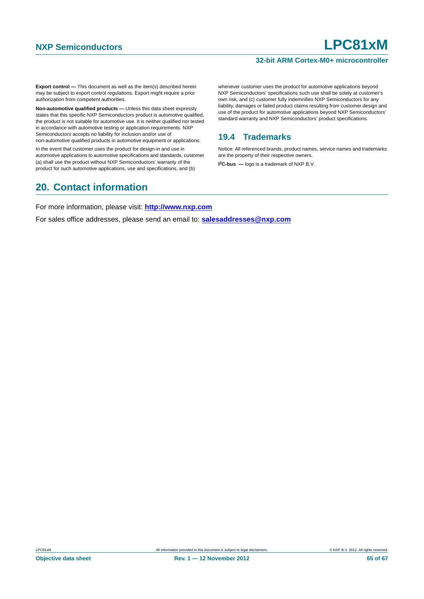#### **32-bit ARM Cortex-M0+ microcontroller**

**Export control —** This document as well as the item(s) described herein may be subject to export control regulations. Export might require a prior authorization from competent authorities.

**Non-automotive qualified products —** Unless this data sheet expressly states that this specific NXP Semiconductors product is automotive qualified, the product is not suitable for automotive use. It is neither qualified nor tested in accordance with automotive testing or application requirements. NXP Semiconductors accepts no liability for inclusion and/or use of non-automotive qualified products in automotive equipment or applications.

In the event that customer uses the product for design-in and use in automotive applications to automotive specifications and standards, customer (a) shall use the product without NXP Semiconductors' warranty of the product for such automotive applications, use and specifications, and (b)

### <span id="page-64-1"></span>**20. Contact information**

whenever customer uses the product for automotive applications beyond NXP Semiconductors' specifications such use shall be solely at customer's own risk, and (c) customer fully indemnifies NXP Semiconductors for any liability, damages or failed product claims resulting from customer design and use of the product for automotive applications beyond NXP Semiconductors' standard warranty and NXP Semiconductors' product specifications.

### <span id="page-64-0"></span>**19.4 Trademarks**

Notice: All referenced brands, product names, service names and trademarks are the property of their respective owners. **I 2C-bus —** logo is a trademark of NXP B.V.

For more information, please visit: **http://www.nxp.com**

For sales office addresses, please send an email to: **salesaddresses@nxp.com**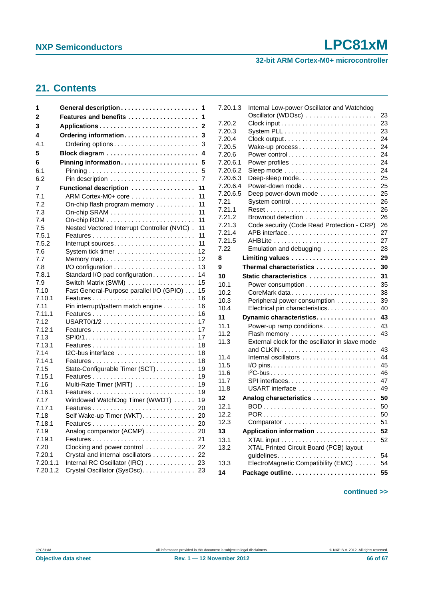#### **32-bit ARM Cortex-M0+ microcontroller**

### <span id="page-65-0"></span>**21. Contents**

| 1              |                                                                  | 1            |
|----------------|------------------------------------------------------------------|--------------|
| 2              | Features and benefits                                            | 1            |
| 3              |                                                                  | $\mathbf{2}$ |
| 4              | Ordering information                                             | 3            |
| 4.1            | Ordering options                                                 | 3            |
| 5              |                                                                  | 4            |
| 6              | Pinning information                                              | 5            |
| 6.1            |                                                                  | 5            |
| 6.2            |                                                                  | 7            |
| 7              | Functional description                                           | 11           |
| 7.1            | ARM Cortex-M0+ core                                              | 11           |
| 7.2            | On-chip flash program memory                                     | 11           |
| 7.3            |                                                                  | 11           |
| 7.4            |                                                                  | 11           |
| 7.5            | Nested Vectored Interrupt Controller (NVIC).                     | 11           |
| 7.5.1          |                                                                  | 11           |
| 7.5.2<br>7.6   | Interrupt sources                                                | 11<br>12     |
| 7.7            |                                                                  | 12           |
| 7.8            |                                                                  | 13           |
| 7.8.1          | Standard I/O pad configuration                                   | 14           |
| 7.9            | Switch Matrix (SWM)                                              | 15           |
| 7.10           | Fast General-Purpose parallel I/O (GPIO)                         | 15           |
| 7.10.1         |                                                                  | 16           |
| 7.11           | Pin interrupt/pattern match engine                               | 16           |
| 7.11.1         |                                                                  | 16           |
| 7.12           |                                                                  | 17           |
| 7.12.1         |                                                                  | 17           |
| 7.13           | $SP10/1$                                                         | 17           |
| 7.13.1<br>7.14 | $12C$ -bus interface                                             | 18<br>18     |
| 7.14.1         |                                                                  | 18           |
| 7.15           | State-Configurable Timer (SCT)                                   | 19           |
| 7.15.1         |                                                                  | 19           |
| 7.16           | Multi-Rate Timer (MRT)                                           | 19           |
| 7.16.1         |                                                                  | 19           |
| 7.17           | Windowed WatchDog Timer (WWDT)                                   | 19           |
| 7.17.1         |                                                                  | 20           |
| 7.18           | Self Wake-up Timer (WKT)                                         | 20           |
| 7.18.1         |                                                                  | 20           |
| 7.19           | Analog comparator (ACMP)                                         | 20           |
| 7.19.1         |                                                                  | 21           |
| 7.20<br>7.20.1 | Clocking and power control                                       | 22           |
| 7.20.1.1       | Crystal and internal oscillators<br>Internal RC Oscillator (IRC) | 22<br>23     |
| 7.20.1.2       | Crystal Oscillator (SysOsc).                                     | 23           |
|                |                                                                  |              |

| 7.20.1.3 | Internal Low-power Oscillator and Watchdog      |    |
|----------|-------------------------------------------------|----|
|          | Oscillator (WDOsc)                              | 23 |
| 7.20.2   |                                                 | 23 |
| 7.20.3   |                                                 | 23 |
| 7.20.4   |                                                 | 24 |
| 7.20.5   |                                                 | 24 |
| 7.20.6   |                                                 | 24 |
| 7.20.6.1 |                                                 | 24 |
| 7.20.6.2 |                                                 | 24 |
| 7.20.6.3 | Deep-sleep mode                                 | 25 |
| 7.20.6.4 | Power-down mode                                 | 25 |
| 7.20.6.5 | Deep power-down mode                            | 25 |
| 7.21     | System control                                  | 26 |
| 7.21.1   |                                                 | 26 |
| 7.21.2   |                                                 | 26 |
| 7.21.3   | Code security (Code Read Protection - CRP)      | 26 |
| 7.21.4   | APB interface                                   | 27 |
| 7.21.5   |                                                 | 27 |
| 7.22     | Emulation and debugging                         | 28 |
| 8        | Limiting values                                 | 29 |
| 9        | Thermal characteristics                         | 30 |
| 10       | Static characteristics                          | 31 |
| 10.1     |                                                 | 35 |
| 10.2     |                                                 | 38 |
| 10.3     | Peripheral power consumption                    | 39 |
| 10.4     | Electrical pin characteristics.                 | 40 |
| 11       | Dynamic characteristics                         | 43 |
| 11.1     | Power-up ramp conditions                        | 43 |
| 11.2     | Flash memory                                    | 43 |
| 11.3     | External clock for the oscillator in slave mode |    |
|          |                                                 | 43 |
| 11.4     |                                                 | 44 |
| 11.5     |                                                 | 45 |
| 11.6     |                                                 | 46 |
| 11.7     |                                                 | 47 |
| 11.8     | USART interface                                 | 49 |
| 12       | Analog characteristics                          | 50 |
| 12.1     | BOD                                             | 50 |
| 12.2     | POR                                             | 50 |
| 12.3     | Comparator                                      | 51 |
| 13       | Application information                         | 52 |
| 13.1     |                                                 | 52 |
| 13.2     | XTAL Printed Circuit Board (PCB) layout         |    |
|          | guidelines                                      | 54 |
| 13.3     | ElectroMagnetic Compatibility (EMC)             | 54 |
| 14       |                                                 | 55 |

#### **continued >>**